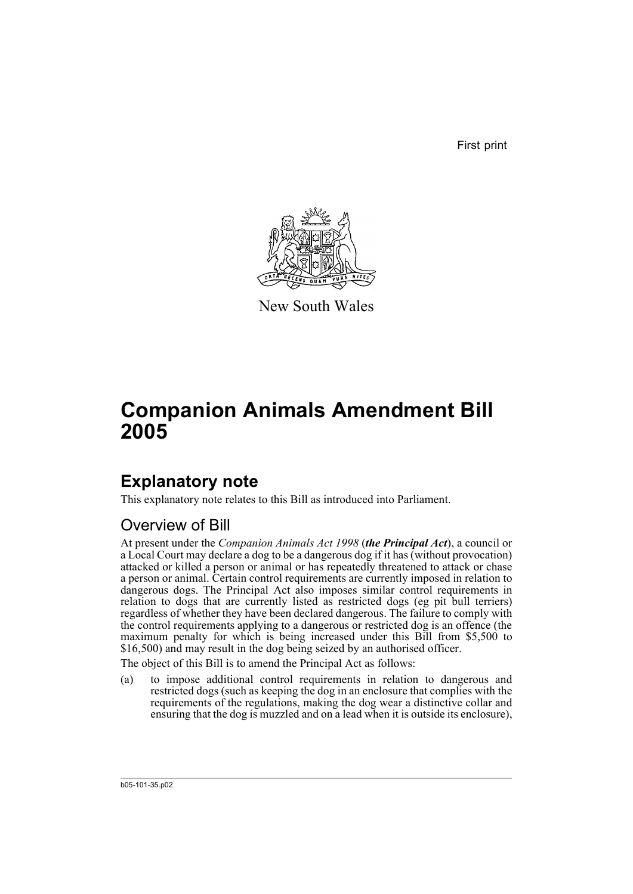First print



New South Wales

# **Companion Animals Amendment Bill 2005**

# **Explanatory note**

This explanatory note relates to this Bill as introduced into Parliament.

# Overview of Bill

At present under the *Companion Animals Act 1998* (*the Principal Act*), a council or a Local Court may declare a dog to be a dangerous dog if it has (without provocation) attacked or killed a person or animal or has repeatedly threatened to attack or chase a person or animal. Certain control requirements are currently imposed in relation to dangerous dogs. The Principal Act also imposes similar control requirements in relation to dogs that are currently listed as restricted dogs (eg pit bull terriers) regardless of whether they have been declared dangerous. The failure to comply with the control requirements applying to a dangerous or restricted dog is an offence (the maximum penalty for which is being increased under this Bill from \$5,500 to \$16,500) and may result in the dog being seized by an authorised officer.

The object of this Bill is to amend the Principal Act as follows:

(a) to impose additional control requirements in relation to dangerous and restricted dogs (such as keeping the dog in an enclosure that complies with the requirements of the regulations, making the dog wear a distinctive collar and ensuring that the dog is muzzled and on a lead when it is outside its enclosure),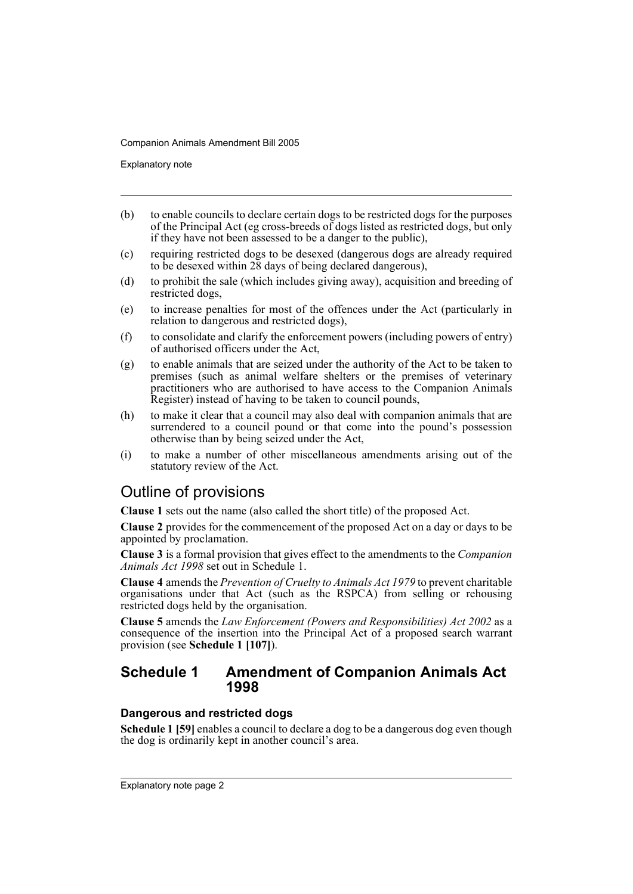Explanatory note

- (b) to enable councils to declare certain dogs to be restricted dogs for the purposes of the Principal Act (eg cross-breeds of dogs listed as restricted dogs, but only if they have not been assessed to be a danger to the public),
- (c) requiring restricted dogs to be desexed (dangerous dogs are already required to be desexed within 28 days of being declared dangerous),
- (d) to prohibit the sale (which includes giving away), acquisition and breeding of restricted dogs,
- (e) to increase penalties for most of the offences under the Act (particularly in relation to dangerous and restricted dogs),
- (f) to consolidate and clarify the enforcement powers (including powers of entry) of authorised officers under the Act,
- (g) to enable animals that are seized under the authority of the Act to be taken to premises (such as animal welfare shelters or the premises of veterinary practitioners who are authorised to have access to the Companion Animals Register) instead of having to be taken to council pounds,
- (h) to make it clear that a council may also deal with companion animals that are surrendered to a council pound or that come into the pound's possession otherwise than by being seized under the Act,
- (i) to make a number of other miscellaneous amendments arising out of the statutory review of the Act.

# Outline of provisions

**Clause 1** sets out the name (also called the short title) of the proposed Act.

**Clause 2** provides for the commencement of the proposed Act on a day or days to be appointed by proclamation.

**Clause 3** is a formal provision that gives effect to the amendments to the *Companion Animals Act 1998* set out in Schedule 1.

**Clause 4** amends the *Prevention of Cruelty to Animals Act 1979* to prevent charitable organisations under that Act (such as the RSPCA) from selling or rehousing restricted dogs held by the organisation.

**Clause 5** amends the *Law Enforcement (Powers and Responsibilities) Act 2002* as a consequence of the insertion into the Principal Act of a proposed search warrant provision (see **Schedule 1 [107]**).

# **Schedule 1 Amendment of Companion Animals Act 1998**

#### **Dangerous and restricted dogs**

**Schedule 1 [59]** enables a council to declare a dog to be a dangerous dog even though the dog is ordinarily kept in another council's area.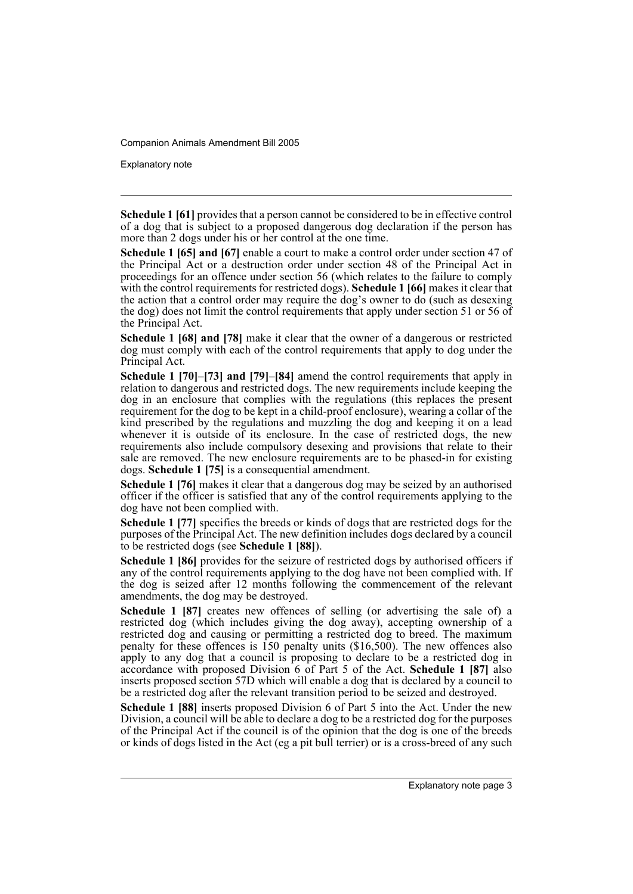Explanatory note

**Schedule 1 [61]** provides that a person cannot be considered to be in effective control of a dog that is subject to a proposed dangerous dog declaration if the person has more than 2 dogs under his or her control at the one time.

**Schedule 1 [65] and [67]** enable a court to make a control order under section 47 of the Principal Act or a destruction order under section 48 of the Principal Act in proceedings for an offence under section 56 (which relates to the failure to comply with the control requirements for restricted dogs). **Schedule 1 [66]** makes it clear that the action that a control order may require the dog's owner to do (such as desexing the dog) does not limit the control requirements that apply under section 51 or 56 of the Principal Act.

**Schedule 1 [68] and [78]** make it clear that the owner of a dangerous or restricted dog must comply with each of the control requirements that apply to dog under the Principal Act.

**Schedule 1 [70]–[73] and [79]–[84]** amend the control requirements that apply in relation to dangerous and restricted dogs. The new requirements include keeping the dog in an enclosure that complies with the regulations (this replaces the present requirement for the dog to be kept in a child-proof enclosure), wearing a collar of the kind prescribed by the regulations and muzzling the dog and keeping it on a lead whenever it is outside of its enclosure. In the case of restricted dogs, the new requirements also include compulsory desexing and provisions that relate to their sale are removed. The new enclosure requirements are to be phased-in for existing dogs. **Schedule 1 [75]** is a consequential amendment.

**Schedule 1 [76]** makes it clear that a dangerous dog may be seized by an authorised officer if the officer is satisfied that any of the control requirements applying to the dog have not been complied with.

**Schedule 1 [77]** specifies the breeds or kinds of dogs that are restricted dogs for the purposes of the Principal Act. The new definition includes dogs declared by a council to be restricted dogs (see **Schedule 1 [88]**).

**Schedule 1 [86]** provides for the seizure of restricted dogs by authorised officers if any of the control requirements applying to the dog have not been complied with. If the dog is seized after 12 months following the commencement of the relevant amendments, the dog may be destroyed.

**Schedule 1 [87]** creates new offences of selling (or advertising the sale of) a restricted dog (which includes giving the dog away), accepting ownership of a restricted dog and causing or permitting a restricted dog to breed. The maximum penalty for these offences is  $150$  penalty units  $(\$16,500)$ . The new offences also apply to any dog that a council is proposing to declare to be a restricted dog in accordance with proposed Division 6 of Part 5 of the Act. **Schedule 1 [87]** also inserts proposed section 57D which will enable a dog that is declared by a council to be a restricted dog after the relevant transition period to be seized and destroyed.

**Schedule 1 [88]** inserts proposed Division 6 of Part 5 into the Act. Under the new Division, a council will be able to declare a dog to be a restricted dog for the purposes of the Principal Act if the council is of the opinion that the dog is one of the breeds or kinds of dogs listed in the Act (eg a pit bull terrier) or is a cross-breed of any such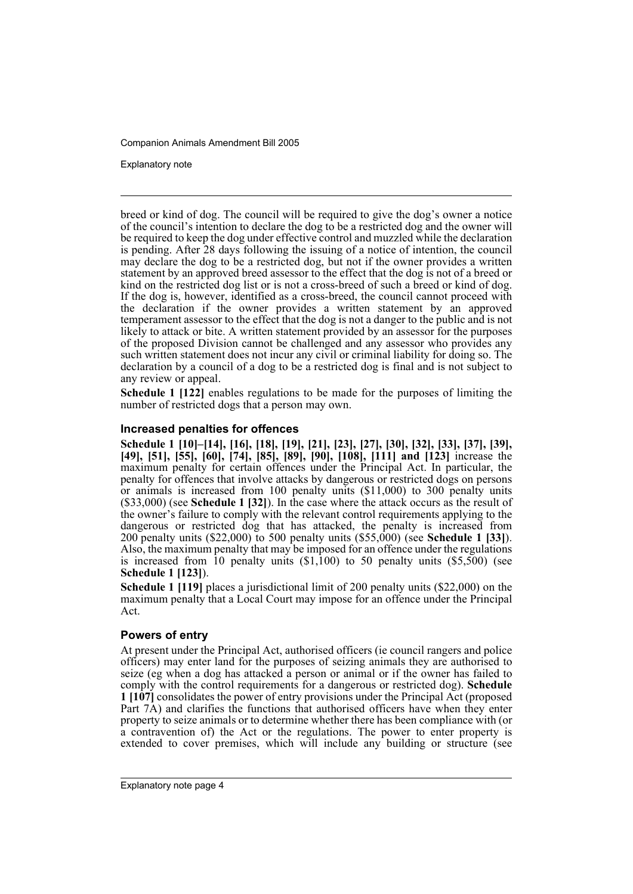Explanatory note

breed or kind of dog. The council will be required to give the dog's owner a notice of the council's intention to declare the dog to be a restricted dog and the owner will be required to keep the dog under effective control and muzzled while the declaration is pending. After 28 days following the issuing of a notice of intention, the council may declare the dog to be a restricted dog, but not if the owner provides a written statement by an approved breed assessor to the effect that the dog is not of a breed or kind on the restricted dog list or is not a cross-breed of such a breed or kind of dog. If the dog is, however, identified as a cross-breed, the council cannot proceed with the declaration if the owner provides a written statement by an approved temperament assessor to the effect that the dog is not a danger to the public and is not likely to attack or bite. A written statement provided by an assessor for the purposes of the proposed Division cannot be challenged and any assessor who provides any such written statement does not incur any civil or criminal liability for doing so. The declaration by a council of a dog to be a restricted dog is final and is not subject to any review or appeal.

**Schedule 1 [122]** enables regulations to be made for the purposes of limiting the number of restricted dogs that a person may own.

#### **Increased penalties for offences**

**Schedule 1 [10]–[14], [16], [18], [19], [21], [23], [27], [30], [32], [33], [37], [39], [49], [51], [55], [60], [74], [85], [89], [90], [108], [111] and [123]** increase the maximum penalty for certain offences under the Principal Act. In particular, the penalty for offences that involve attacks by dangerous or restricted dogs on persons or animals is increased from 100 penalty units (\$11,000) to 300 penalty units (\$33,000) (see **Schedule 1 [32]**). In the case where the attack occurs as the result of the owner's failure to comply with the relevant control requirements applying to the dangerous or restricted dog that has attacked, the penalty is increased from 200 penalty units (\$22,000) to 500 penalty units (\$55,000) (see **Schedule 1 [33]**). Also, the maximum penalty that may be imposed for an offence under the regulations is increased from 10 penalty units  $(\$1,100)$  to 50 penalty units  $(\$5,500)$  (see **Schedule 1 [123]**).

**Schedule 1 [119]** places a jurisdictional limit of 200 penalty units (\$22,000) on the maximum penalty that a Local Court may impose for an offence under the Principal Act.

#### **Powers of entry**

At present under the Principal Act, authorised officers (ie council rangers and police officers) may enter land for the purposes of seizing animals they are authorised to seize (eg when a dog has attacked a person or animal or if the owner has failed to comply with the control requirements for a dangerous or restricted dog). **Schedule 1 [107]** consolidates the power of entry provisions under the Principal Act (proposed Part 7A) and clarifies the functions that authorised officers have when they enter property to seize animals or to determine whether there has been compliance with (or a contravention of) the Act or the regulations. The power to enter property is extended to cover premises, which will include any building or structure (see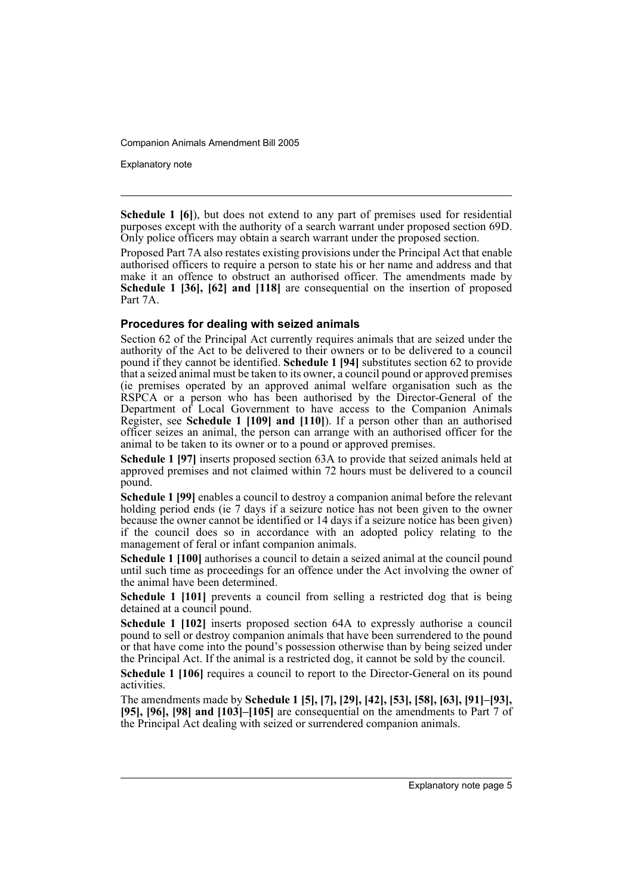Explanatory note

**Schedule 1 [6]**), but does not extend to any part of premises used for residential purposes except with the authority of a search warrant under proposed section 69D. Only police officers may obtain a search warrant under the proposed section.

Proposed Part 7A also restates existing provisions under the Principal Act that enable authorised officers to require a person to state his or her name and address and that make it an offence to obstruct an authorised officer. The amendments made by **Schedule 1 [36], [62] and [118]** are consequential on the insertion of proposed Part 7A.

#### **Procedures for dealing with seized animals**

Section 62 of the Principal Act currently requires animals that are seized under the authority of the Act to be delivered to their owners or to be delivered to a council pound if they cannot be identified. **Schedule 1 [94]** substitutes section 62 to provide that a seized animal must be taken to its owner, a council pound or approved premises (ie premises operated by an approved animal welfare organisation such as the RSPCA or a person who has been authorised by the Director-General of the Department of Local Government to have access to the Companion Animals Register, see **Schedule 1 [109] and [110]**). If a person other than an authorised officer seizes an animal, the person can arrange with an authorised officer for the animal to be taken to its owner or to a pound or approved premises.

**Schedule 1 [97]** inserts proposed section 63A to provide that seized animals held at approved premises and not claimed within 72 hours must be delivered to a council pound.

**Schedule 1 [99]** enables a council to destroy a companion animal before the relevant holding period ends (ie 7 days if a seizure notice has not been given to the owner because the owner cannot be identified or 14 days if a seizure notice has been given) if the council does so in accordance with an adopted policy relating to the management of feral or infant companion animals.

**Schedule 1 [100]** authorises a council to detain a seized animal at the council pound until such time as proceedings for an offence under the Act involving the owner of the animal have been determined.

**Schedule 1 [101]** prevents a council from selling a restricted dog that is being detained at a council pound.

**Schedule 1 [102]** inserts proposed section 64A to expressly authorise a council pound to sell or destroy companion animals that have been surrendered to the pound or that have come into the pound's possession otherwise than by being seized under the Principal Act. If the animal is a restricted dog, it cannot be sold by the council.

**Schedule 1 [106]** requires a council to report to the Director-General on its pound activities.

The amendments made by **Schedule 1 [5], [7], [29], [42], [53], [58], [63], [91]–[93], [95], [96], [98] and [103]–[105]** are consequential on the amendments to Part 7 of the Principal Act dealing with seized or surrendered companion animals.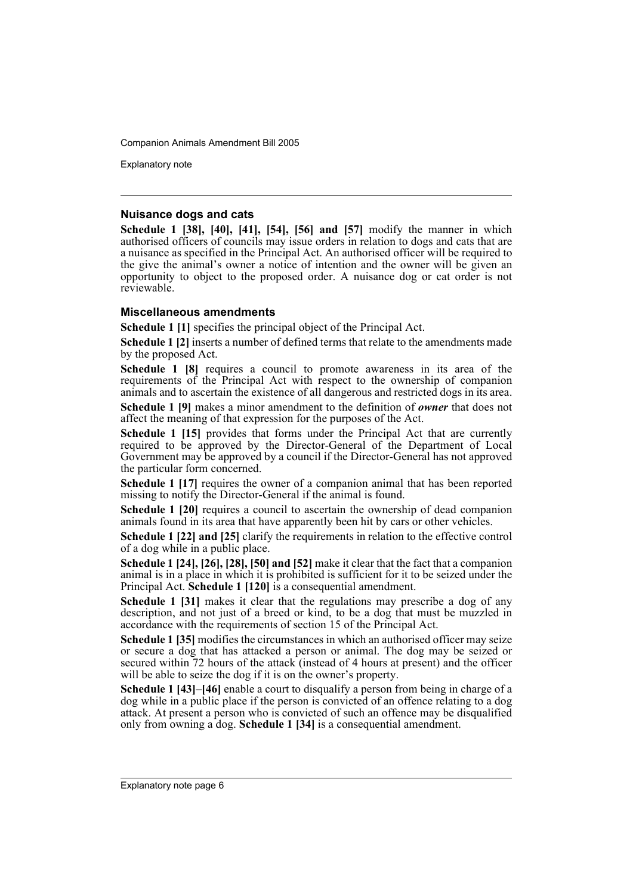Explanatory note

#### **Nuisance dogs and cats**

**Schedule 1 [38], [40], [41], [54], [56] and [57]** modify the manner in which authorised officers of councils may issue orders in relation to dogs and cats that are a nuisance as specified in the Principal Act. An authorised officer will be required to the give the animal's owner a notice of intention and the owner will be given an opportunity to object to the proposed order. A nuisance dog or cat order is not reviewable.

#### **Miscellaneous amendments**

**Schedule 1 [1]** specifies the principal object of the Principal Act.

**Schedule 1 [2]** inserts a number of defined terms that relate to the amendments made by the proposed Act.

**Schedule 1 [8]** requires a council to promote awareness in its area of the requirements of the Principal Act with respect to the ownership of companion animals and to ascertain the existence of all dangerous and restricted dogs in its area.

**Schedule 1 [9]** makes a minor amendment to the definition of *owner* that does not affect the meaning of that expression for the purposes of the Act.

**Schedule 1 [15]** provides that forms under the Principal Act that are currently required to be approved by the Director-General of the Department of Local Government may be approved by a council if the Director-General has not approved the particular form concerned.

**Schedule 1 [17]** requires the owner of a companion animal that has been reported missing to notify the Director-General if the animal is found.

**Schedule 1 [20]** requires a council to ascertain the ownership of dead companion animals found in its area that have apparently been hit by cars or other vehicles.

**Schedule 1 [22] and [25]** clarify the requirements in relation to the effective control of a dog while in a public place.

**Schedule 1 [24], [26], [28], [50] and [52]** make it clear that the fact that a companion animal is in a place in which it is prohibited is sufficient for it to be seized under the Principal Act. **Schedule 1 [120]** is a consequential amendment.

**Schedule 1 [31]** makes it clear that the regulations may prescribe a dog of any description, and not just of a breed or kind, to be a dog that must be muzzled in accordance with the requirements of section 15 of the Principal Act.

**Schedule 1 [35]** modifies the circumstances in which an authorised officer may seize or secure a dog that has attacked a person or animal. The dog may be seized or secured within 72 hours of the attack (instead of 4 hours at present) and the officer will be able to seize the dog if it is on the owner's property.

**Schedule 1 [43]–[46]** enable a court to disqualify a person from being in charge of a dog while in a public place if the person is convicted of an offence relating to a dog attack. At present a person who is convicted of such an offence may be disqualified only from owning a dog. **Schedule 1 [34]** is a consequential amendment.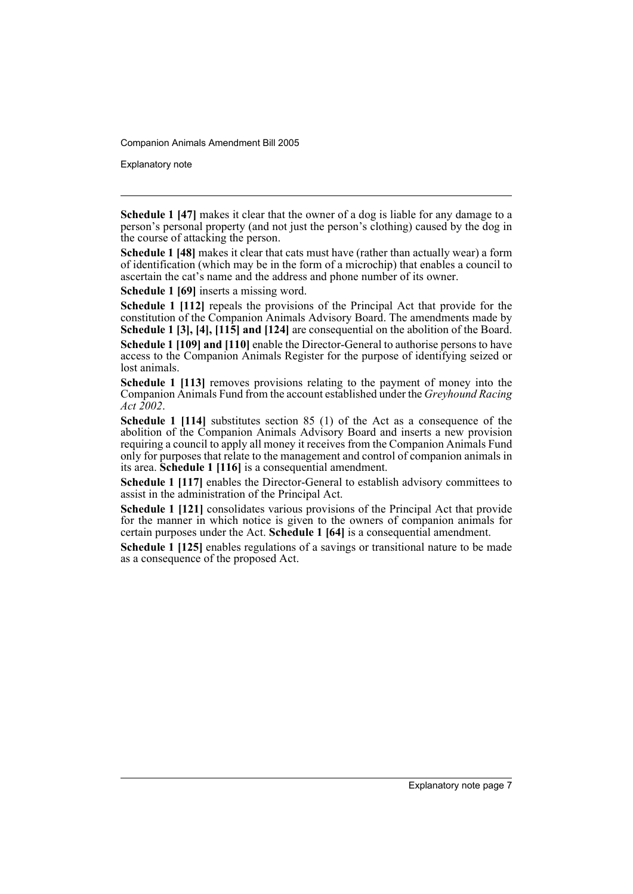Explanatory note

**Schedule 1 [47]** makes it clear that the owner of a dog is liable for any damage to a person's personal property (and not just the person's clothing) caused by the dog in the course of attacking the person.

**Schedule 1 [48]** makes it clear that cats must have (rather than actually wear) a form of identification (which may be in the form of a microchip) that enables a council to ascertain the cat's name and the address and phone number of its owner.

**Schedule 1 [69]** inserts a missing word.

**Schedule 1 [112]** repeals the provisions of the Principal Act that provide for the constitution of the Companion Animals Advisory Board. The amendments made by **Schedule 1 [3], [4], [115] and [124]** are consequential on the abolition of the Board.

**Schedule 1 [109] and [110]** enable the Director-General to authorise persons to have access to the Companion Animals Register for the purpose of identifying seized or lost animals.

**Schedule 1 [113]** removes provisions relating to the payment of money into the Companion Animals Fund from the account established under the *Greyhound Racing Act 2002*.

**Schedule 1 [114]** substitutes section 85 (1) of the Act as a consequence of the abolition of the Companion Animals Advisory Board and inserts a new provision requiring a council to apply all money it receives from the Companion Animals Fund only for purposes that relate to the management and control of companion animals in its area. **Schedule 1 [116]** is a consequential amendment.

**Schedule 1 [117]** enables the Director-General to establish advisory committees to assist in the administration of the Principal Act.

**Schedule 1 [121]** consolidates various provisions of the Principal Act that provide for the manner in which notice is given to the owners of companion animals for certain purposes under the Act. **Schedule 1 [64]** is a consequential amendment.

**Schedule 1 [125]** enables regulations of a savings or transitional nature to be made as a consequence of the proposed Act.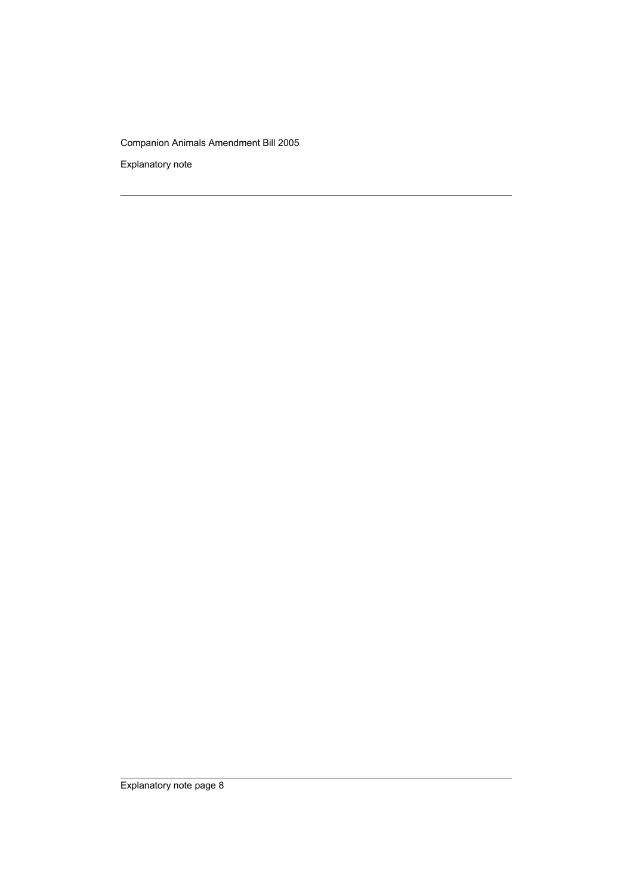Explanatory note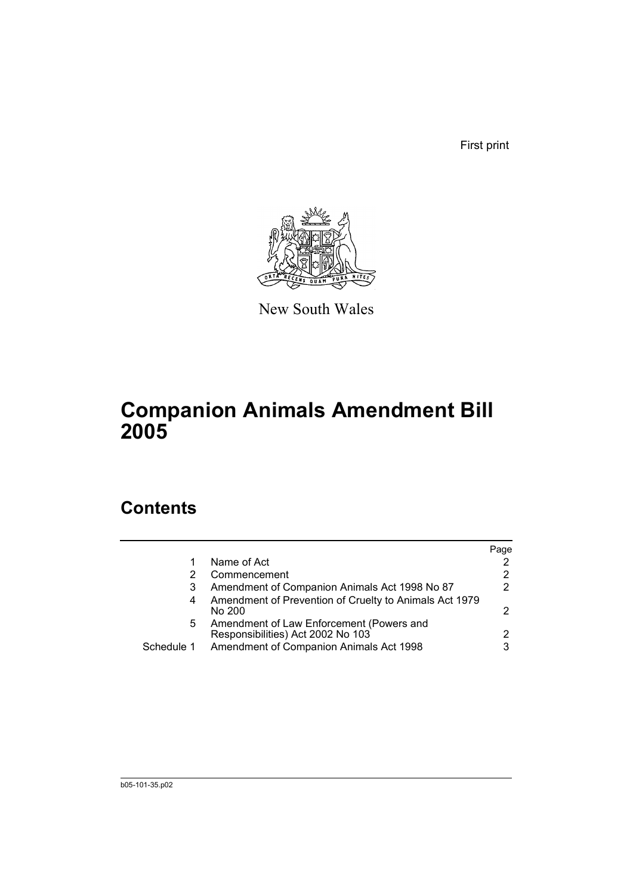First print



New South Wales

# **Companion Animals Amendment Bill 2005**

# **Contents**

|    |                                                                               | Page |
|----|-------------------------------------------------------------------------------|------|
|    | Name of Act                                                                   |      |
|    | Commencement                                                                  |      |
| 3  | Amendment of Companion Animals Act 1998 No 87                                 | 2    |
| 4  | Amendment of Prevention of Cruelty to Animals Act 1979<br>No 200              |      |
| 5. | Amendment of Law Enforcement (Powers and<br>Responsibilities) Act 2002 No 103 |      |
|    | Schedule 1 Amendment of Companion Animals Act 1998                            |      |
|    |                                                                               |      |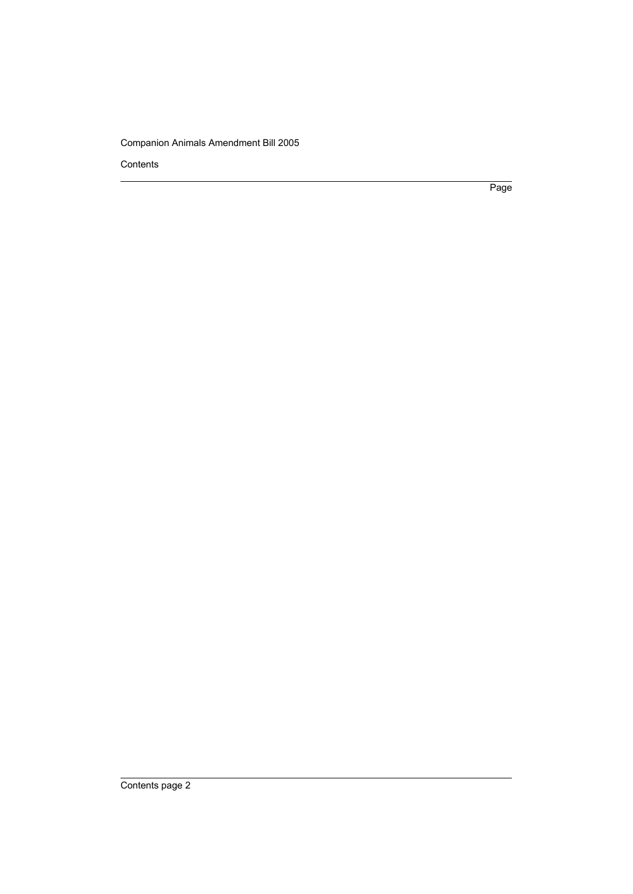Contents

Page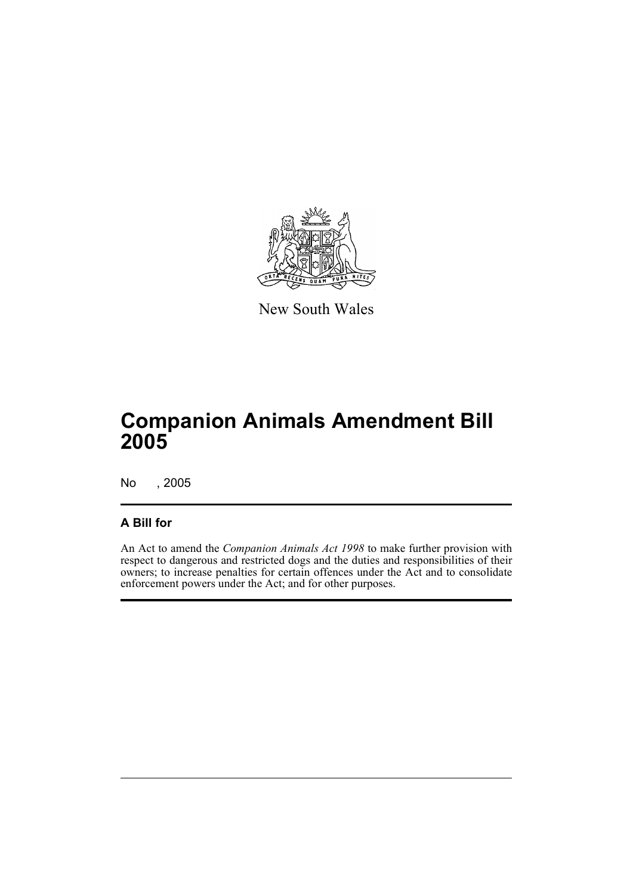

New South Wales

# **Companion Animals Amendment Bill 2005**

No , 2005

# **A Bill for**

An Act to amend the *Companion Animals Act 1998* to make further provision with respect to dangerous and restricted dogs and the duties and responsibilities of their owners; to increase penalties for certain offences under the Act and to consolidate enforcement powers under the Act; and for other purposes.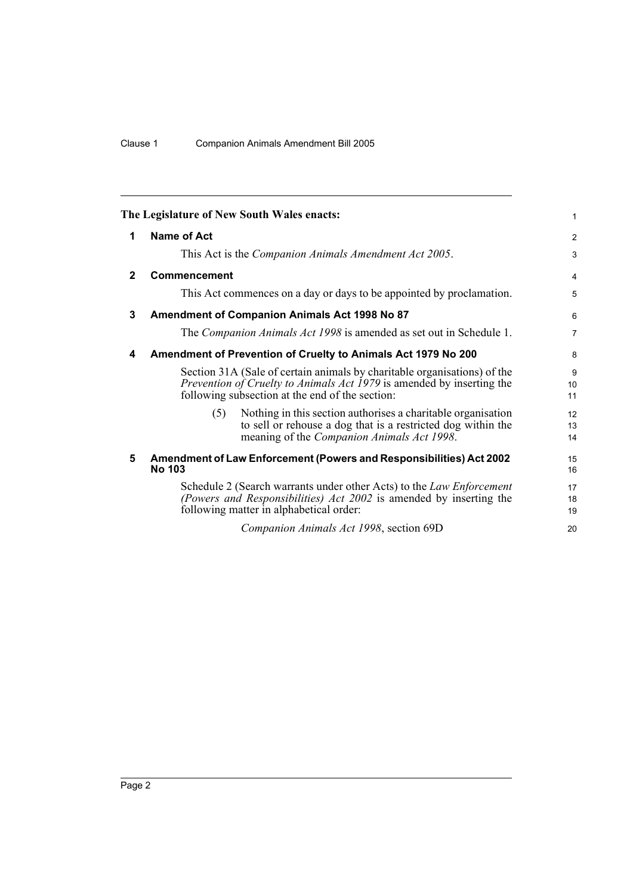|                | The Legislature of New South Wales enacts:                                                                                                                                                                  | 1              |
|----------------|-------------------------------------------------------------------------------------------------------------------------------------------------------------------------------------------------------------|----------------|
| 1              | <b>Name of Act</b>                                                                                                                                                                                          | 2              |
|                | This Act is the <i>Companion Animals Amendment Act 2005</i> .                                                                                                                                               | 3              |
| $\overline{2}$ | Commencement                                                                                                                                                                                                | $\overline{4}$ |
|                | This Act commences on a day or days to be appointed by proclamation.                                                                                                                                        | 5              |
| 3              | Amendment of Companion Animals Act 1998 No 87                                                                                                                                                               | 6              |
|                | The Companion Animals Act 1998 is amended as set out in Schedule 1.                                                                                                                                         | $\overline{7}$ |
| 4              | Amendment of Prevention of Cruelty to Animals Act 1979 No 200                                                                                                                                               | 8              |
|                | Section 31A (Sale of certain animals by charitable organisations) of the<br><i>Prevention of Cruelty to Animals Act 1979</i> is amended by inserting the<br>following subsection at the end of the section: | 9<br>10<br>11  |
|                | Nothing in this section authorises a charitable organisation<br>(5)<br>to sell or rehouse a dog that is a restricted dog within the<br>meaning of the <i>Companion Animals Act 1998</i> .                   | 12<br>13<br>14 |
| 5              | Amendment of Law Enforcement (Powers and Responsibilities) Act 2002<br><b>No 103</b>                                                                                                                        | 15<br>16       |
|                | Schedule 2 (Search warrants under other Acts) to the Law Enforcement<br>(Powers and Responsibilities) Act 2002 is amended by inserting the<br>following matter in alphabetical order:                       | 17<br>18<br>19 |
|                | Companion Animals Act 1998, section 69D                                                                                                                                                                     | 20             |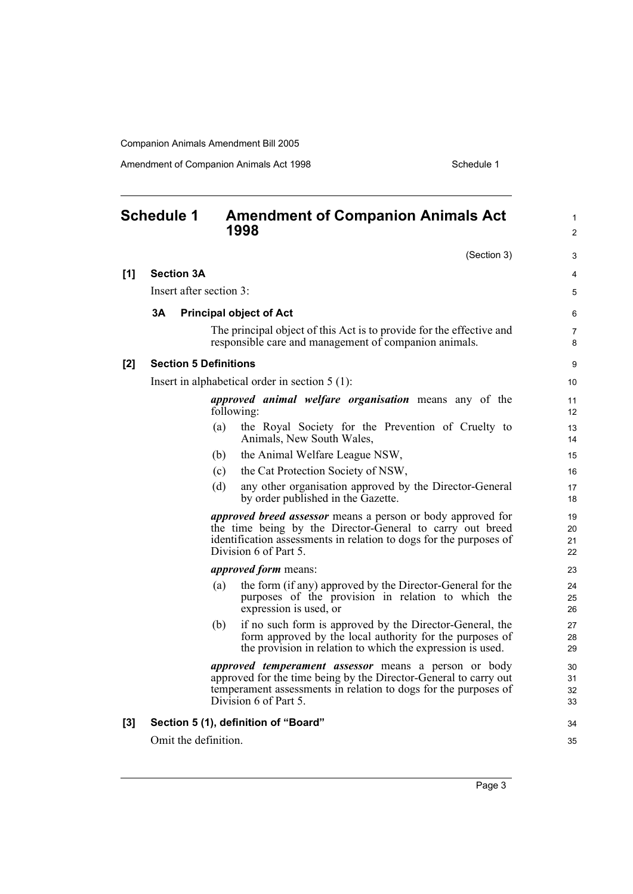|     | <b>Schedule 1</b>            | <b>Amendment of Companion Animals Act</b><br>1998                                                                                                                                                                              | $\mathbf{1}$<br>2    |
|-----|------------------------------|--------------------------------------------------------------------------------------------------------------------------------------------------------------------------------------------------------------------------------|----------------------|
|     |                              | (Section 3)                                                                                                                                                                                                                    | 3                    |
| [1] | <b>Section 3A</b>            |                                                                                                                                                                                                                                | 4                    |
|     | Insert after section 3:      |                                                                                                                                                                                                                                | 5                    |
|     | 3Α                           | <b>Principal object of Act</b>                                                                                                                                                                                                 | 6                    |
|     |                              | The principal object of this Act is to provide for the effective and<br>responsible care and management of companion animals.                                                                                                  | $\overline{7}$<br>8  |
| [2] | <b>Section 5 Definitions</b> |                                                                                                                                                                                                                                | 9                    |
|     |                              | Insert in alphabetical order in section $5(1)$ :                                                                                                                                                                               | 10                   |
|     |                              | <i>approved animal welfare organisation</i> means any of the<br>following:                                                                                                                                                     | 11<br>12             |
|     |                              | the Royal Society for the Prevention of Cruelty to<br>(a)<br>Animals, New South Wales,                                                                                                                                         | 13<br>14             |
|     |                              | the Animal Welfare League NSW,<br>(b)                                                                                                                                                                                          | 15                   |
|     |                              | the Cat Protection Society of NSW,<br>(c)                                                                                                                                                                                      | 16                   |
|     |                              | (d)<br>any other organisation approved by the Director-General<br>by order published in the Gazette.                                                                                                                           | 17<br>18             |
|     |                              | <i>approved breed assessor</i> means a person or body approved for<br>the time being by the Director-General to carry out breed<br>identification assessments in relation to dogs for the purposes of<br>Division 6 of Part 5. | 19<br>20<br>21<br>22 |
|     |                              | <i>approved form means:</i>                                                                                                                                                                                                    | 23                   |
|     |                              | the form (if any) approved by the Director-General for the<br>(a)<br>purposes of the provision in relation to which the<br>expression is used, or                                                                              | 24<br>25<br>26       |
|     |                              | if no such form is approved by the Director-General, the<br>(b)<br>form approved by the local authority for the purposes of<br>the provision in relation to which the expression is used.                                      | 27<br>28<br>29       |
|     |                              | <i>approved temperament assessor</i> means a person or body<br>approved for the time being by the Director-General to carry out<br>temperament assessments in relation to dogs for the purposes of<br>Division 6 of Part 5.    | 30<br>31<br>32<br>33 |
| [3] |                              | Section 5 (1), definition of "Board"                                                                                                                                                                                           | 34                   |
|     | Omit the definition.         |                                                                                                                                                                                                                                | 35                   |
|     |                              |                                                                                                                                                                                                                                |                      |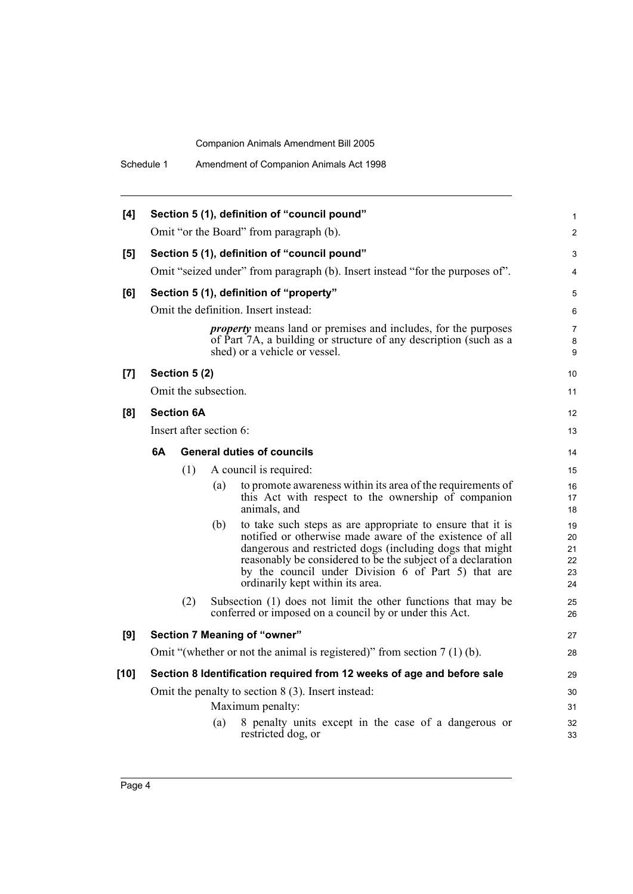| [4] |                         |     | Section 5 (1), definition of "council pound"                                                                                                                                                                                                                                                                                                 |
|-----|-------------------------|-----|----------------------------------------------------------------------------------------------------------------------------------------------------------------------------------------------------------------------------------------------------------------------------------------------------------------------------------------------|
|     |                         |     | Omit "or the Board" from paragraph (b).                                                                                                                                                                                                                                                                                                      |
|     |                         |     | Section 5 (1), definition of "council pound"                                                                                                                                                                                                                                                                                                 |
|     |                         |     | Omit "seized under" from paragraph (b). Insert instead "for the purposes of".                                                                                                                                                                                                                                                                |
|     |                         |     | Section 5 (1), definition of "property"                                                                                                                                                                                                                                                                                                      |
|     |                         |     | Omit the definition. Insert instead:                                                                                                                                                                                                                                                                                                         |
|     |                         |     | <i>property</i> means land or premises and includes, for the purposes<br>of Part 7A, a building or structure of any description (such as a<br>shed) or a vehicle or vessel.                                                                                                                                                                  |
|     | Section 5 (2)           |     |                                                                                                                                                                                                                                                                                                                                              |
|     | Omit the subsection.    |     |                                                                                                                                                                                                                                                                                                                                              |
|     | <b>Section 6A</b>       |     |                                                                                                                                                                                                                                                                                                                                              |
|     | Insert after section 6: |     |                                                                                                                                                                                                                                                                                                                                              |
|     | 6A                      |     | <b>General duties of councils</b>                                                                                                                                                                                                                                                                                                            |
|     | (1)                     |     | A council is required:                                                                                                                                                                                                                                                                                                                       |
|     |                         | (a) | to promote awareness within its area of the requirements of<br>this Act with respect to the ownership of companion<br>animals, and                                                                                                                                                                                                           |
|     |                         | (b) | to take such steps as are appropriate to ensure that it is<br>notified or otherwise made aware of the existence of all<br>dangerous and restricted dogs (including dogs that might<br>reasonably be considered to be the subject of a declaration<br>by the council under Division 6 of Part 5) that are<br>ordinarily kept within its area. |
|     | (2)                     |     | Subsection (1) does not limit the other functions that may be<br>conferred or imposed on a council by or under this Act.                                                                                                                                                                                                                     |
|     |                         |     | <b>Section 7 Meaning of "owner"</b>                                                                                                                                                                                                                                                                                                          |
|     |                         |     | Omit "(whether or not the animal is registered)" from section $7(1)(b)$ .                                                                                                                                                                                                                                                                    |
|     |                         |     | Section 8 Identification required from 12 weeks of age and before sale                                                                                                                                                                                                                                                                       |
|     |                         |     | Omit the penalty to section 8 (3). Insert instead:                                                                                                                                                                                                                                                                                           |
|     |                         |     | Maximum penalty:                                                                                                                                                                                                                                                                                                                             |
|     |                         | (a) | 8 penalty units except in the case of a dangerous or<br>restricted dog, or                                                                                                                                                                                                                                                                   |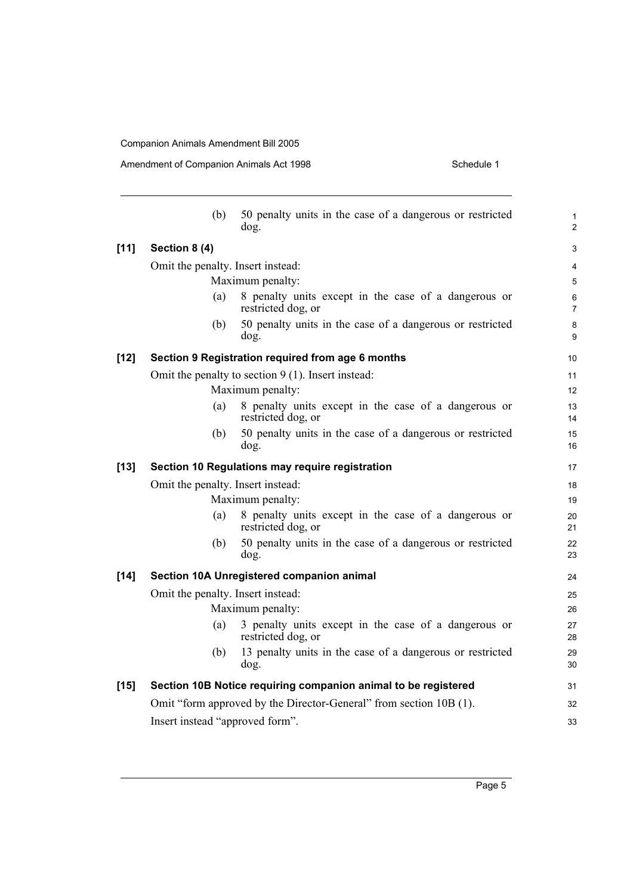|        | (b)                               | 50 penalty units in the case of a dangerous or restricted<br>dog.          | $\mathbf{1}$<br>2         |
|--------|-----------------------------------|----------------------------------------------------------------------------|---------------------------|
| $[11]$ | Section 8 (4)                     |                                                                            | 3                         |
|        | Omit the penalty. Insert instead: |                                                                            | $\overline{4}$            |
|        |                                   | Maximum penalty:                                                           | 5                         |
|        | (a)                               | 8 penalty units except in the case of a dangerous or<br>restricted dog, or | $\,6\,$<br>$\overline{7}$ |
|        | (b)                               | 50 penalty units in the case of a dangerous or restricted<br>dog.          | $\bf 8$<br>9              |
| $[12]$ |                                   | Section 9 Registration required from age 6 months                          | 10                        |
|        |                                   | Omit the penalty to section $9(1)$ . Insert instead:                       | 11                        |
|        |                                   | Maximum penalty:                                                           | 12                        |
|        | (a)                               | 8 penalty units except in the case of a dangerous or<br>restricted dog, or | 13<br>14                  |
|        | (b)                               | 50 penalty units in the case of a dangerous or restricted<br>dog.          | 15<br>16                  |
| $[13]$ |                                   | Section 10 Regulations may require registration                            | 17                        |
|        | Omit the penalty. Insert instead: |                                                                            | 18                        |
|        |                                   | Maximum penalty:                                                           | 19                        |
|        | (a)                               | 8 penalty units except in the case of a dangerous or<br>restricted dog, or | 20<br>21                  |
|        | (b)                               | 50 penalty units in the case of a dangerous or restricted<br>dog.          | 22<br>23                  |
| $[14]$ |                                   | Section 10A Unregistered companion animal                                  | 24                        |
|        | Omit the penalty. Insert instead: |                                                                            | 25                        |
|        |                                   | Maximum penalty:                                                           | 26                        |
|        | (a)                               | 3 penalty units except in the case of a dangerous or<br>restricted dog, or | 27<br>28                  |
|        | (b)                               | 13 penalty units in the case of a dangerous or restricted<br>dog.          | 29<br>30                  |
| $[15]$ |                                   | Section 10B Notice requiring companion animal to be registered             | 31                        |
|        |                                   | Omit "form approved by the Director-General" from section 10B (1).         | 32                        |
|        | Insert instead "approved form".   |                                                                            | 33                        |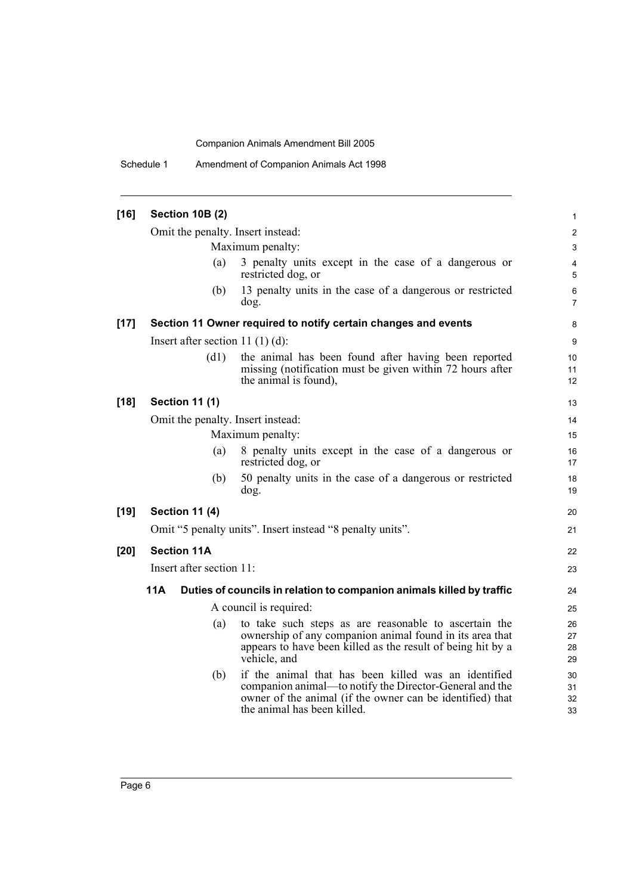| $[16]$ | <b>Section 10B (2)</b>             |                                                                                                                                            | 1                   |
|--------|------------------------------------|--------------------------------------------------------------------------------------------------------------------------------------------|---------------------|
|        | Omit the penalty. Insert instead:  |                                                                                                                                            | $\overline{2}$      |
|        |                                    | Maximum penalty:                                                                                                                           | 3                   |
|        | (a)                                | 3 penalty units except in the case of a dangerous or<br>restricted dog, or                                                                 | $\overline{4}$<br>5 |
|        | (b)                                | 13 penalty units in the case of a dangerous or restricted<br>dog.                                                                          | 6<br>$\overline{7}$ |
| $[17]$ |                                    | Section 11 Owner required to notify certain changes and events                                                                             | 8                   |
|        | Insert after section 11 $(1)(d)$ : |                                                                                                                                            | 9                   |
|        | (d1)                               | the animal has been found after having been reported<br>missing (notification must be given within 72 hours after<br>the animal is found), | 10<br>11<br>12      |
| $[18]$ | <b>Section 11 (1)</b>              |                                                                                                                                            | 13                  |
|        | Omit the penalty. Insert instead:  |                                                                                                                                            | 14                  |
|        |                                    | Maximum penalty:                                                                                                                           | 15                  |
|        | (a)                                | 8 penalty units except in the case of a dangerous or<br>restricted dog, or                                                                 | 16<br>17            |
|        | (b)                                | 50 penalty units in the case of a dangerous or restricted<br>dog.                                                                          | 18<br>19            |
| $[19]$ | <b>Section 11 (4)</b>              |                                                                                                                                            | 20                  |
|        |                                    | Omit "5 penalty units". Insert instead "8 penalty units".                                                                                  | 21                  |
| $[20]$ | <b>Section 11A</b>                 |                                                                                                                                            | 22                  |
|        | Insert after section 11:           |                                                                                                                                            | 23                  |
|        | 11A                                | Duties of councils in relation to companion animals killed by traffic                                                                      | 24                  |
|        |                                    | A council is required:                                                                                                                     | 25                  |
|        | (a)                                | to take such steps as are reasonable to ascertain the                                                                                      | 26                  |
|        |                                    | ownership of any companion animal found in its area that                                                                                   | 27                  |
|        |                                    | appears to have been killed as the result of being hit by a<br>vehicle, and                                                                | 28<br>29            |
|        | (b)                                | if the animal that has been killed was an identified                                                                                       | 30                  |
|        |                                    | companion animal—to notify the Director-General and the                                                                                    | 31                  |
|        |                                    | owner of the animal (if the owner can be identified) that<br>the animal has been killed.                                                   | 32<br>33            |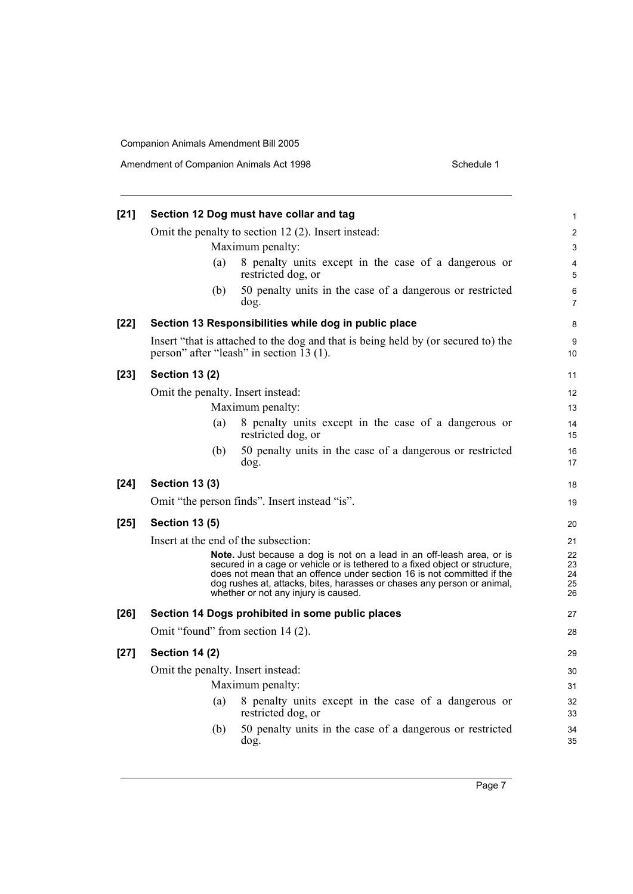| $[21]$ |                                      | Section 12 Dog must have collar and tag                                                                                                                                                                                                                                                                                                           | $\mathbf{1}$               |
|--------|--------------------------------------|---------------------------------------------------------------------------------------------------------------------------------------------------------------------------------------------------------------------------------------------------------------------------------------------------------------------------------------------------|----------------------------|
|        |                                      | Omit the penalty to section 12 (2). Insert instead:                                                                                                                                                                                                                                                                                               | $\overline{2}$             |
|        |                                      | Maximum penalty:                                                                                                                                                                                                                                                                                                                                  | 3                          |
|        | (a)                                  | 8 penalty units except in the case of a dangerous or<br>restricted dog, or                                                                                                                                                                                                                                                                        | 4<br>5                     |
|        | (b)                                  | 50 penalty units in the case of a dangerous or restricted<br>$\log$ .                                                                                                                                                                                                                                                                             | 6<br>$\overline{7}$        |
| $[22]$ |                                      | Section 13 Responsibilities while dog in public place                                                                                                                                                                                                                                                                                             | 8                          |
|        |                                      | Insert "that is attached to the dog and that is being held by (or secured to) the<br>person" after "leash" in section 13 (1).                                                                                                                                                                                                                     | 9<br>10                    |
| $[23]$ | <b>Section 13 (2)</b>                |                                                                                                                                                                                                                                                                                                                                                   | 11                         |
|        | Omit the penalty. Insert instead:    |                                                                                                                                                                                                                                                                                                                                                   | 12                         |
|        |                                      | Maximum penalty:                                                                                                                                                                                                                                                                                                                                  | 13                         |
|        | (a)                                  | 8 penalty units except in the case of a dangerous or<br>restricted dog, or                                                                                                                                                                                                                                                                        | 14<br>15                   |
|        | (b)                                  | 50 penalty units in the case of a dangerous or restricted<br>dog.                                                                                                                                                                                                                                                                                 | 16<br>17                   |
| $[24]$ | <b>Section 13 (3)</b>                |                                                                                                                                                                                                                                                                                                                                                   | 18                         |
|        |                                      | Omit "the person finds". Insert instead "is".                                                                                                                                                                                                                                                                                                     | 19                         |
| $[25]$ | <b>Section 13 (5)</b>                |                                                                                                                                                                                                                                                                                                                                                   | 20                         |
|        | Insert at the end of the subsection: |                                                                                                                                                                                                                                                                                                                                                   | 21                         |
|        |                                      | Note. Just because a dog is not on a lead in an off-leash area, or is<br>secured in a cage or vehicle or is tethered to a fixed object or structure,<br>does not mean that an offence under section 16 is not committed if the<br>dog rushes at, attacks, bites, harasses or chases any person or animal,<br>whether or not any injury is caused. | 22<br>23<br>24<br>25<br>26 |
| $[26]$ |                                      | Section 14 Dogs prohibited in some public places                                                                                                                                                                                                                                                                                                  | 27                         |
|        | Omit "found" from section 14 (2).    |                                                                                                                                                                                                                                                                                                                                                   | 28                         |
| $[27]$ | <b>Section 14 (2)</b>                |                                                                                                                                                                                                                                                                                                                                                   | 29                         |
|        | Omit the penalty. Insert instead:    |                                                                                                                                                                                                                                                                                                                                                   | 30                         |
|        |                                      | Maximum penalty:                                                                                                                                                                                                                                                                                                                                  | 31                         |
|        | (a)                                  | 8 penalty units except in the case of a dangerous or<br>restricted dog, or                                                                                                                                                                                                                                                                        | 32<br>33                   |
|        | (b)                                  | 50 penalty units in the case of a dangerous or restricted<br>dog.                                                                                                                                                                                                                                                                                 | 34<br>35                   |
|        |                                      |                                                                                                                                                                                                                                                                                                                                                   |                            |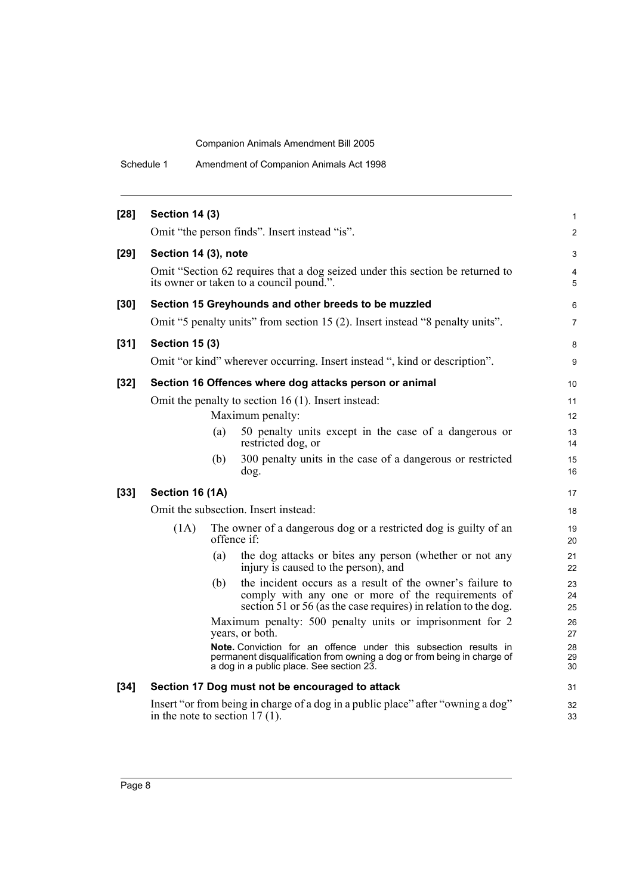| $[28]$ | <b>Section 14 (3)</b>            |     |                                                                                                                                                                                         | $\mathbf{1}$   |
|--------|----------------------------------|-----|-----------------------------------------------------------------------------------------------------------------------------------------------------------------------------------------|----------------|
|        |                                  |     | Omit "the person finds". Insert instead "is".                                                                                                                                           | $\overline{2}$ |
| $[29]$ | Section 14 (3), note             |     |                                                                                                                                                                                         | 3              |
|        |                                  |     | Omit "Section 62 requires that a dog seized under this section be returned to<br>its owner or taken to a council pound.".                                                               | 4<br>5         |
| $[30]$ |                                  |     | Section 15 Greyhounds and other breeds to be muzzled                                                                                                                                    | 6              |
|        |                                  |     | Omit "5 penalty units" from section 15 (2). Insert instead "8 penalty units".                                                                                                           | $\overline{7}$ |
| $[31]$ | <b>Section 15 (3)</b>            |     |                                                                                                                                                                                         | 8              |
|        |                                  |     | Omit "or kind" wherever occurring. Insert instead ", kind or description".                                                                                                              | 9              |
| $[32]$ |                                  |     | Section 16 Offences where dog attacks person or animal                                                                                                                                  | 10             |
|        |                                  |     |                                                                                                                                                                                         |                |
|        |                                  |     | Omit the penalty to section 16 (1). Insert instead:<br>Maximum penalty:                                                                                                                 | 11             |
|        |                                  |     |                                                                                                                                                                                         | 12             |
|        |                                  | (a) | 50 penalty units except in the case of a dangerous or<br>restricted dog, or                                                                                                             | 13<br>14       |
|        |                                  | (b) | 300 penalty units in the case of a dangerous or restricted<br>dog.                                                                                                                      | 15<br>16       |
| $[33]$ | Section 16 (1A)                  |     |                                                                                                                                                                                         | 17             |
|        |                                  |     | Omit the subsection. Insert instead:                                                                                                                                                    |                |
|        |                                  |     |                                                                                                                                                                                         | 18             |
|        | (1A)                             |     | The owner of a dangerous dog or a restricted dog is guilty of an<br>offence if:                                                                                                         | 19<br>20       |
|        |                                  | (a) | the dog attacks or bites any person (whether or not any<br>injury is caused to the person), and                                                                                         | 21<br>22       |
|        |                                  | (b) | the incident occurs as a result of the owner's failure to<br>comply with any one or more of the requirements of<br>section 51 or 56 (as the case requires) in relation to the dog.      | 23<br>24<br>25 |
|        |                                  |     | Maximum penalty: 500 penalty units or imprisonment for 2<br>years, or both.                                                                                                             | 26<br>27       |
|        |                                  |     | Note. Conviction for an offence under this subsection results in<br>permanent disqualification from owning a dog or from being in charge of<br>a dog in a public place. See section 23. | 28<br>29<br>30 |
| $[34]$ |                                  |     | Section 17 Dog must not be encouraged to attack                                                                                                                                         | 31             |
|        | in the note to section $17(1)$ . |     | Insert "or from being in charge of a dog in a public place" after "owning a dog"                                                                                                        | 32<br>33       |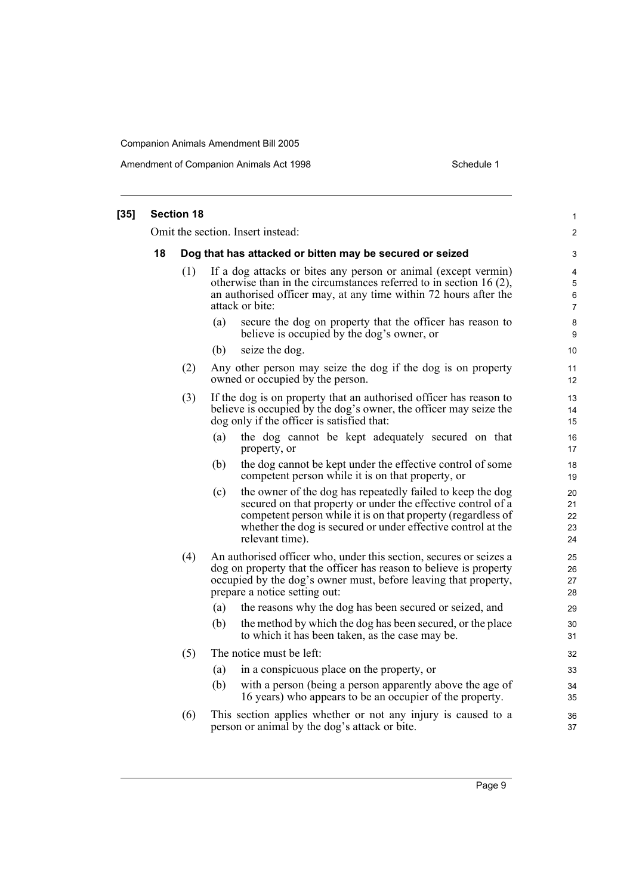| $[35]$ |    | <b>Section 18</b> |                                                                                                                                                                                                                                                                                      | 1                                   |
|--------|----|-------------------|--------------------------------------------------------------------------------------------------------------------------------------------------------------------------------------------------------------------------------------------------------------------------------------|-------------------------------------|
|        |    |                   | Omit the section. Insert instead:                                                                                                                                                                                                                                                    | $\overline{c}$                      |
|        | 18 |                   | Dog that has attacked or bitten may be secured or seized                                                                                                                                                                                                                             | 3                                   |
|        |    | (1)               | If a dog attacks or bites any person or animal (except vermin)<br>otherwise than in the circumstances referred to in section $16(2)$ ,<br>an authorised officer may, at any time within 72 hours after the<br>attack or bite:                                                        | 4<br>5<br>$\,6\,$<br>$\overline{7}$ |
|        |    |                   | secure the dog on property that the officer has reason to<br>(a)<br>believe is occupied by the dog's owner, or                                                                                                                                                                       | 8<br>9                              |
|        |    |                   | seize the dog.<br>(b)                                                                                                                                                                                                                                                                | 10                                  |
|        |    | (2)               | Any other person may seize the dog if the dog is on property<br>owned or occupied by the person.                                                                                                                                                                                     | 11<br>12                            |
|        |    | (3)               | If the dog is on property that an authorised officer has reason to<br>believe is occupied by the dog's owner, the officer may seize the<br>dog only if the officer is satisfied that:                                                                                                | 13<br>14<br>15                      |
|        |    |                   | the dog cannot be kept adequately secured on that<br>(a)<br>property, or                                                                                                                                                                                                             | 16<br>17                            |
|        |    |                   | the dog cannot be kept under the effective control of some<br>(b)<br>competent person while it is on that property, or                                                                                                                                                               | 18<br>19                            |
|        |    |                   | the owner of the dog has repeatedly failed to keep the dog<br>(c)<br>secured on that property or under the effective control of a<br>competent person while it is on that property (regardless of<br>whether the dog is secured or under effective control at the<br>relevant time). | 20<br>21<br>22<br>23<br>24          |
|        |    | (4)               | An authorised officer who, under this section, secures or seizes a<br>dog on property that the officer has reason to believe is property<br>occupied by the dog's owner must, before leaving that property,<br>prepare a notice setting out:                                         | 25<br>26<br>27<br>28                |
|        |    |                   | the reasons why the dog has been secured or seized, and<br>(a)                                                                                                                                                                                                                       | 29                                  |
|        |    |                   | (b)<br>the method by which the dog has been secured, or the place<br>to which it has been taken, as the case may be.                                                                                                                                                                 | 30<br>31                            |
|        |    | (5)               | The notice must be left:                                                                                                                                                                                                                                                             | 32                                  |
|        |    |                   | (a)<br>in a conspicuous place on the property, or                                                                                                                                                                                                                                    | 33                                  |
|        |    |                   | with a person (being a person apparently above the age of<br>(b)<br>16 years) who appears to be an occupier of the property.                                                                                                                                                         | 34<br>35                            |
|        |    | (6)               | This section applies whether or not any injury is caused to a<br>person or animal by the dog's attack or bite.                                                                                                                                                                       | 36<br>37                            |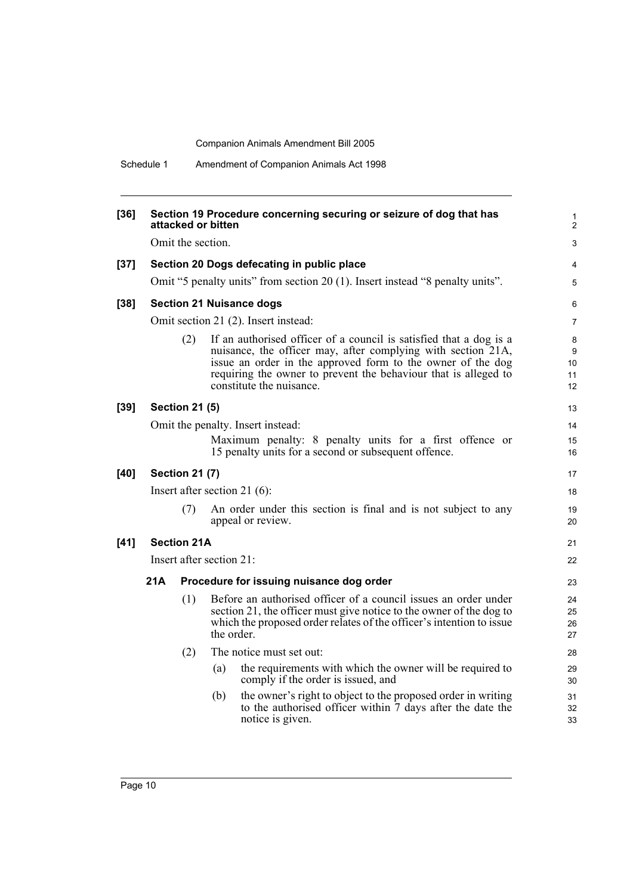| $[36]$ |                                            |                       | Section 19 Procedure concerning securing or seizure of dog that has<br>attacked or bitten                                                                                                                                                                                                        | 1<br>2                   |  |  |
|--------|--------------------------------------------|-----------------------|--------------------------------------------------------------------------------------------------------------------------------------------------------------------------------------------------------------------------------------------------------------------------------------------------|--------------------------|--|--|
|        |                                            | Omit the section.     |                                                                                                                                                                                                                                                                                                  | 3                        |  |  |
| $[37]$ | Section 20 Dogs defecating in public place |                       |                                                                                                                                                                                                                                                                                                  |                          |  |  |
|        |                                            |                       | Omit "5 penalty units" from section 20 (1). Insert instead "8 penalty units".                                                                                                                                                                                                                    | 5                        |  |  |
| $[38]$ |                                            |                       | <b>Section 21 Nuisance dogs</b>                                                                                                                                                                                                                                                                  | 6                        |  |  |
|        |                                            |                       | Omit section 21 (2). Insert instead:                                                                                                                                                                                                                                                             | $\overline{7}$           |  |  |
|        |                                            | (2)                   | If an authorised officer of a council is satisfied that a dog is a<br>nuisance, the officer may, after complying with section 21A,<br>issue an order in the approved form to the owner of the dog<br>requiring the owner to prevent the behaviour that is alleged to<br>constitute the nuisance. | 8<br>9<br>10<br>11<br>12 |  |  |
| $[39]$ |                                            | <b>Section 21 (5)</b> |                                                                                                                                                                                                                                                                                                  | 13                       |  |  |
|        |                                            |                       | Omit the penalty. Insert instead:                                                                                                                                                                                                                                                                | 14                       |  |  |
|        |                                            |                       | Maximum penalty: 8 penalty units for a first offence or<br>15 penalty units for a second or subsequent offence.                                                                                                                                                                                  | 15<br>16                 |  |  |
| [40]   |                                            | <b>Section 21 (7)</b> |                                                                                                                                                                                                                                                                                                  | 17                       |  |  |
|        | Insert after section 21 $(6)$ :            |                       |                                                                                                                                                                                                                                                                                                  |                          |  |  |
|        |                                            | (7)                   | An order under this section is final and is not subject to any<br>appeal or review.                                                                                                                                                                                                              | 19<br>20                 |  |  |
| $[41]$ |                                            | <b>Section 21A</b>    |                                                                                                                                                                                                                                                                                                  | 21                       |  |  |
|        |                                            |                       | Insert after section 21:                                                                                                                                                                                                                                                                         | 22                       |  |  |
|        | 21A                                        |                       | Procedure for issuing nuisance dog order                                                                                                                                                                                                                                                         | 23                       |  |  |
|        |                                            | (1)                   | Before an authorised officer of a council issues an order under<br>section 21, the officer must give notice to the owner of the dog to<br>which the proposed order relates of the officer's intention to issue<br>the order.                                                                     | 24<br>25<br>26<br>27     |  |  |
|        |                                            | (2)                   | The notice must set out:                                                                                                                                                                                                                                                                         | 28                       |  |  |
|        |                                            |                       | the requirements with which the owner will be required to<br>(a)<br>comply if the order is issued, and                                                                                                                                                                                           | 29<br>30                 |  |  |
|        |                                            |                       | the owner's right to object to the proposed order in writing<br>(b)<br>to the authorised officer within 7 days after the date the<br>notice is given.                                                                                                                                            | 31<br>32<br>33           |  |  |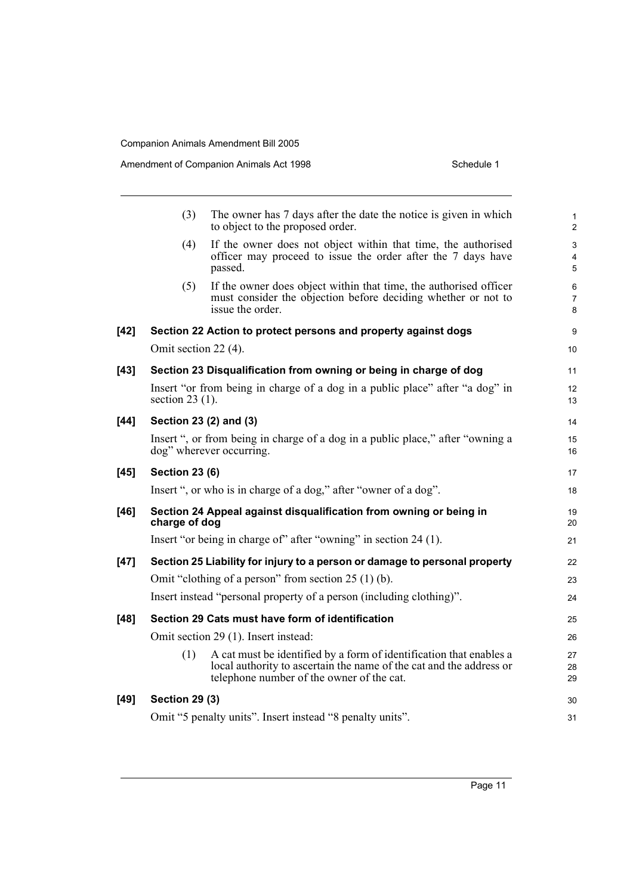|        | (3)                   | The owner has 7 days after the date the notice is given in which<br>to object to the proposed order.                                                                                    | 1<br>$\overline{2}$            |
|--------|-----------------------|-----------------------------------------------------------------------------------------------------------------------------------------------------------------------------------------|--------------------------------|
|        | (4)                   | If the owner does not object within that time, the authorised<br>officer may proceed to issue the order after the 7 days have<br>passed.                                                | 3<br>4<br>5                    |
|        | (5)                   | If the owner does object within that time, the authorised officer<br>must consider the objection before deciding whether or not to<br>issue the order.                                  | $\,6\,$<br>$\overline{7}$<br>8 |
| $[42]$ |                       | Section 22 Action to protect persons and property against dogs                                                                                                                          | 9                              |
|        | Omit section 22 (4).  |                                                                                                                                                                                         | 10                             |
| $[43]$ |                       | Section 23 Disqualification from owning or being in charge of dog                                                                                                                       | 11                             |
|        | section $23(1)$ .     | Insert "or from being in charge of a dog in a public place" after "a dog" in                                                                                                            | 12<br>13                       |
| $[44]$ |                       | Section 23 (2) and (3)                                                                                                                                                                  | 14                             |
|        |                       | Insert ", or from being in charge of a dog in a public place," after "owning a<br>dog" wherever occurring.                                                                              | 15<br>16                       |
| $[45]$ | <b>Section 23 (6)</b> |                                                                                                                                                                                         | 17                             |
|        |                       | Insert ", or who is in charge of a dog," after "owner of a dog".                                                                                                                        | 18                             |
| $[46]$ | charge of dog         | Section 24 Appeal against disqualification from owning or being in                                                                                                                      | 19<br>20                       |
|        |                       | Insert "or being in charge of" after "owning" in section 24 (1).                                                                                                                        | 21                             |
| $[47]$ |                       | Section 25 Liability for injury to a person or damage to personal property                                                                                                              | 22                             |
|        |                       | Omit "clothing of a person" from section $25(1)(b)$ .                                                                                                                                   | 23                             |
|        |                       | Insert instead "personal property of a person (including clothing)".                                                                                                                    | 24                             |
| $[48]$ |                       | Section 29 Cats must have form of identification                                                                                                                                        | 25                             |
|        |                       | Omit section 29 (1). Insert instead:                                                                                                                                                    | 26                             |
|        | (1)                   | A cat must be identified by a form of identification that enables a<br>local authority to ascertain the name of the cat and the address or<br>telephone number of the owner of the cat. | 27<br>28<br>29                 |
| $[49]$ | <b>Section 29 (3)</b> |                                                                                                                                                                                         | 30                             |
|        |                       | Omit "5 penalty units". Insert instead "8 penalty units".                                                                                                                               | 31                             |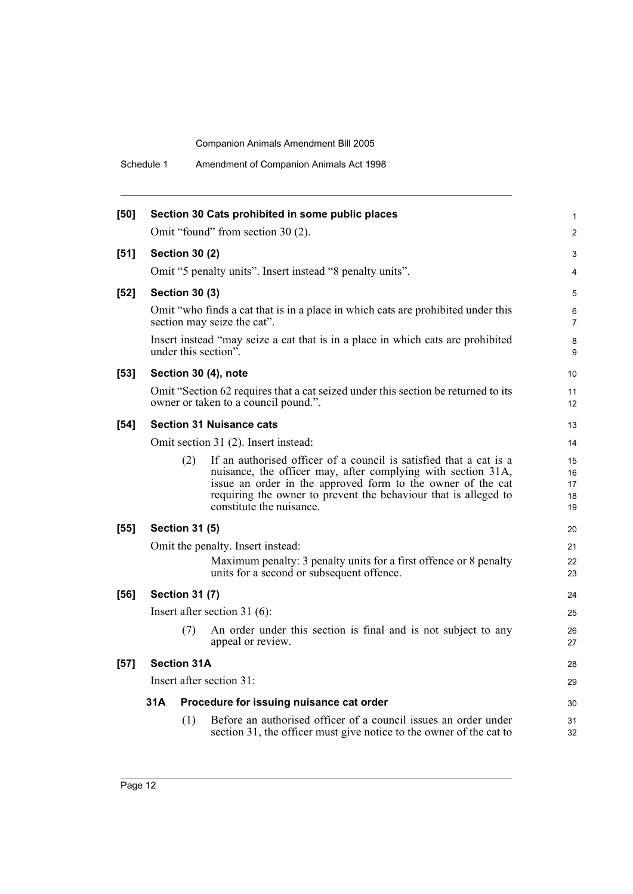| [50]   |     |                       | Section 30 Cats prohibited in some public places                                                                                                                                                                                                                                                 | $\mathbf{1}$               |
|--------|-----|-----------------------|--------------------------------------------------------------------------------------------------------------------------------------------------------------------------------------------------------------------------------------------------------------------------------------------------|----------------------------|
|        |     |                       | Omit "found" from section 30 (2).                                                                                                                                                                                                                                                                | 2                          |
| $[51]$ |     | <b>Section 30 (2)</b> |                                                                                                                                                                                                                                                                                                  | 3                          |
|        |     |                       | Omit "5 penalty units". Insert instead "8 penalty units".                                                                                                                                                                                                                                        | 4                          |
| $[52]$ |     | <b>Section 30 (3)</b> |                                                                                                                                                                                                                                                                                                  | 5                          |
|        |     |                       | Omit "who finds a cat that is in a place in which cats are prohibited under this<br>section may seize the cat".                                                                                                                                                                                  | 6<br>$\overline{7}$        |
|        |     |                       | Insert instead "may seize a cat that is in a place in which cats are prohibited<br>under this section".                                                                                                                                                                                          | 8<br>9                     |
| $[53]$ |     |                       | Section 30 (4), note                                                                                                                                                                                                                                                                             | 10                         |
|        |     |                       | Omit "Section 62 requires that a cat seized under this section be returned to its<br>owner or taken to a council pound.".                                                                                                                                                                        | 11<br>12                   |
| $[54]$ |     |                       | <b>Section 31 Nuisance cats</b>                                                                                                                                                                                                                                                                  | 13                         |
|        |     |                       | Omit section 31 (2). Insert instead:                                                                                                                                                                                                                                                             | 14                         |
|        |     | (2)                   | If an authorised officer of a council is satisfied that a cat is a<br>nuisance, the officer may, after complying with section 31A,<br>issue an order in the approved form to the owner of the cat<br>requiring the owner to prevent the behaviour that is alleged to<br>constitute the nuisance. | 15<br>16<br>17<br>18<br>19 |
| $[55]$ |     | <b>Section 31 (5)</b> |                                                                                                                                                                                                                                                                                                  | 20                         |
|        |     |                       | Omit the penalty. Insert instead:                                                                                                                                                                                                                                                                | 21                         |
|        |     |                       | Maximum penalty: 3 penalty units for a first offence or 8 penalty<br>units for a second or subsequent offence.                                                                                                                                                                                   | 22<br>23                   |
| [56]   |     | <b>Section 31 (7)</b> |                                                                                                                                                                                                                                                                                                  | 24                         |
|        |     |                       | Insert after section $31(6)$ :                                                                                                                                                                                                                                                                   | 25                         |
|        |     | (7)                   | An order under this section is final and is not subject to any<br>appeal or review.                                                                                                                                                                                                              | 26<br>27                   |
| $[57]$ |     | <b>Section 31A</b>    |                                                                                                                                                                                                                                                                                                  | 28                         |
|        |     |                       | Insert after section 31:                                                                                                                                                                                                                                                                         | 29                         |
|        | 31A |                       | Procedure for issuing nuisance cat order                                                                                                                                                                                                                                                         | 30                         |
|        |     | (1)                   | Before an authorised officer of a council issues an order under                                                                                                                                                                                                                                  | 31                         |
|        |     |                       | section 31, the officer must give notice to the owner of the cat to                                                                                                                                                                                                                              | 32                         |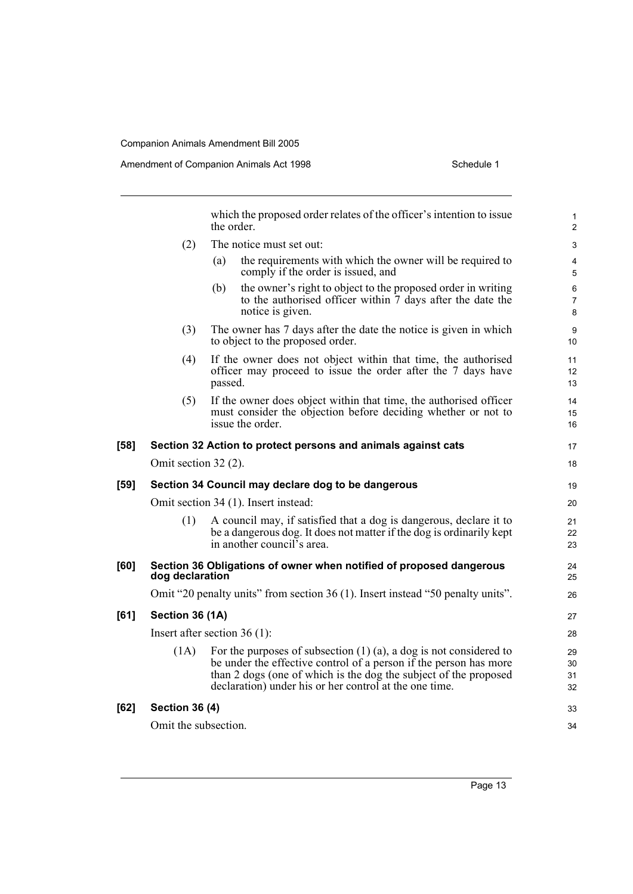|        |                        | which the proposed order relates of the officer's intention to issue<br>the order.                                                                                                                                                                                         | 1<br>2               |
|--------|------------------------|----------------------------------------------------------------------------------------------------------------------------------------------------------------------------------------------------------------------------------------------------------------------------|----------------------|
|        | (2)                    | The notice must set out:                                                                                                                                                                                                                                                   | 3                    |
|        |                        | the requirements with which the owner will be required to<br>(a)<br>comply if the order is issued, and                                                                                                                                                                     | 4<br>5               |
|        |                        | the owner's right to object to the proposed order in writing<br>(b)<br>to the authorised officer within 7 days after the date the<br>notice is given.                                                                                                                      | 6<br>7<br>8          |
|        | (3)                    | The owner has 7 days after the date the notice is given in which<br>to object to the proposed order.                                                                                                                                                                       | 9<br>10              |
|        | (4)                    | If the owner does not object within that time, the authorised<br>officer may proceed to issue the order after the 7 days have<br>passed.                                                                                                                                   | 11<br>12<br>13       |
|        | (5)                    | If the owner does object within that time, the authorised officer<br>must consider the objection before deciding whether or not to<br>issue the order.                                                                                                                     | 14<br>15<br>16       |
| $[58]$ |                        | Section 32 Action to protect persons and animals against cats                                                                                                                                                                                                              | 17                   |
|        | Omit section $32(2)$ . |                                                                                                                                                                                                                                                                            | 18                   |
| [59]   |                        | Section 34 Council may declare dog to be dangerous                                                                                                                                                                                                                         | 19                   |
|        |                        | Omit section 34 (1). Insert instead:                                                                                                                                                                                                                                       | 20                   |
|        | (1)                    | A council may, if satisfied that a dog is dangerous, declare it to<br>be a dangerous dog. It does not matter if the dog is ordinarily kept<br>in another council's area.                                                                                                   | 21<br>22<br>23       |
| [60]   | dog declaration        | Section 36 Obligations of owner when notified of proposed dangerous                                                                                                                                                                                                        | 24<br>25             |
|        |                        | Omit "20 penalty units" from section 36 (1). Insert instead "50 penalty units".                                                                                                                                                                                            | 26                   |
| [61]   | Section 36 (1A)        |                                                                                                                                                                                                                                                                            | 27                   |
|        |                        | Insert after section $36(1)$ :                                                                                                                                                                                                                                             | 28                   |
|        | (1A)                   | For the purposes of subsection $(1)$ $(a)$ , a dog is not considered to<br>be under the effective control of a person if the person has more<br>than 2 dogs (one of which is the dog the subject of the proposed<br>declaration) under his or her control at the one time. | 29<br>30<br>31<br>32 |
| $[62]$ | <b>Section 36 (4)</b>  |                                                                                                                                                                                                                                                                            | 33                   |
|        | Omit the subsection.   |                                                                                                                                                                                                                                                                            | 34                   |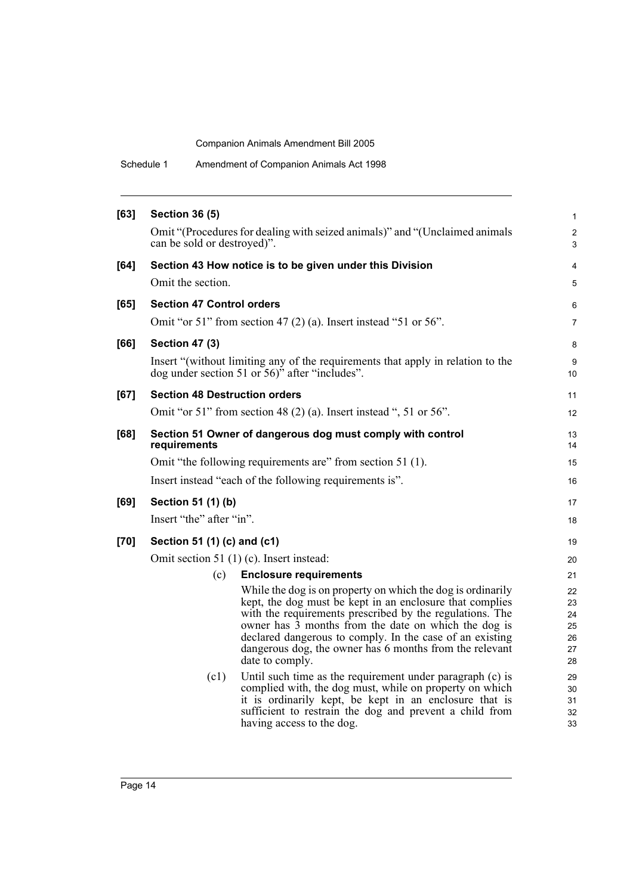| Schedule 1 | Amendment of Companion Animals Act 1998 |
|------------|-----------------------------------------|
|------------|-----------------------------------------|

| [63]   | <b>Section 36 (5)</b>                |                                                                                                                                                                                                                                                                                                                                                                                       | $\mathbf{1}$                           |
|--------|--------------------------------------|---------------------------------------------------------------------------------------------------------------------------------------------------------------------------------------------------------------------------------------------------------------------------------------------------------------------------------------------------------------------------------------|----------------------------------------|
|        | can be sold or destroyed)".          | Omit "(Procedures for dealing with seized animals)" and "(Unclaimed animals                                                                                                                                                                                                                                                                                                           | 2<br>3                                 |
| [64]   |                                      | Section 43 How notice is to be given under this Division                                                                                                                                                                                                                                                                                                                              | 4                                      |
|        | Omit the section.                    |                                                                                                                                                                                                                                                                                                                                                                                       | 5                                      |
| [65]   | <b>Section 47 Control orders</b>     |                                                                                                                                                                                                                                                                                                                                                                                       | 6                                      |
|        |                                      | Omit "or 51" from section 47 (2) (a). Insert instead "51 or 56".                                                                                                                                                                                                                                                                                                                      | $\overline{7}$                         |
| [66]   | <b>Section 47 (3)</b>                |                                                                                                                                                                                                                                                                                                                                                                                       | 8                                      |
|        |                                      | Insert "(without limiting any of the requirements that apply in relation to the<br>dog under section 51 or 56)" after "includes".                                                                                                                                                                                                                                                     | 9<br>10                                |
| $[67]$ | <b>Section 48 Destruction orders</b> |                                                                                                                                                                                                                                                                                                                                                                                       | 11                                     |
|        |                                      | Omit "or 51" from section 48 (2) (a). Insert instead ", 51 or 56".                                                                                                                                                                                                                                                                                                                    | 12                                     |
| [68]   | requirements                         | Section 51 Owner of dangerous dog must comply with control                                                                                                                                                                                                                                                                                                                            | 13<br>14                               |
|        |                                      | Omit "the following requirements are" from section 51 (1).                                                                                                                                                                                                                                                                                                                            | 15                                     |
|        |                                      | Insert instead "each of the following requirements is".                                                                                                                                                                                                                                                                                                                               | 16                                     |
| [69]   | Section 51 (1) (b)                   |                                                                                                                                                                                                                                                                                                                                                                                       | 17                                     |
|        | Insert "the" after "in".             |                                                                                                                                                                                                                                                                                                                                                                                       | 18                                     |
| $[70]$ | Section 51 (1) (c) and (c1)          |                                                                                                                                                                                                                                                                                                                                                                                       | 19                                     |
|        |                                      | Omit section 51 (1) (c). Insert instead:                                                                                                                                                                                                                                                                                                                                              | 20                                     |
|        | (c)                                  | <b>Enclosure requirements</b>                                                                                                                                                                                                                                                                                                                                                         | 21                                     |
|        |                                      | While the dog is on property on which the dog is ordinarily<br>kept, the dog must be kept in an enclosure that complies<br>with the requirements prescribed by the regulations. The<br>owner has 3 months from the date on which the dog is<br>declared dangerous to comply. In the case of an existing<br>dangerous dog, the owner has 6 months from the relevant<br>date to comply. | 22<br>23<br>24<br>25<br>26<br>27<br>28 |
|        | (c1)                                 | Until such time as the requirement under paragraph (c) is<br>complied with, the dog must, while on property on which<br>it is ordinarily kept, be kept in an enclosure that is<br>sufficient to restrain the dog and prevent a child from<br>having access to the dog.                                                                                                                | 29<br>30<br>31<br>32<br>33             |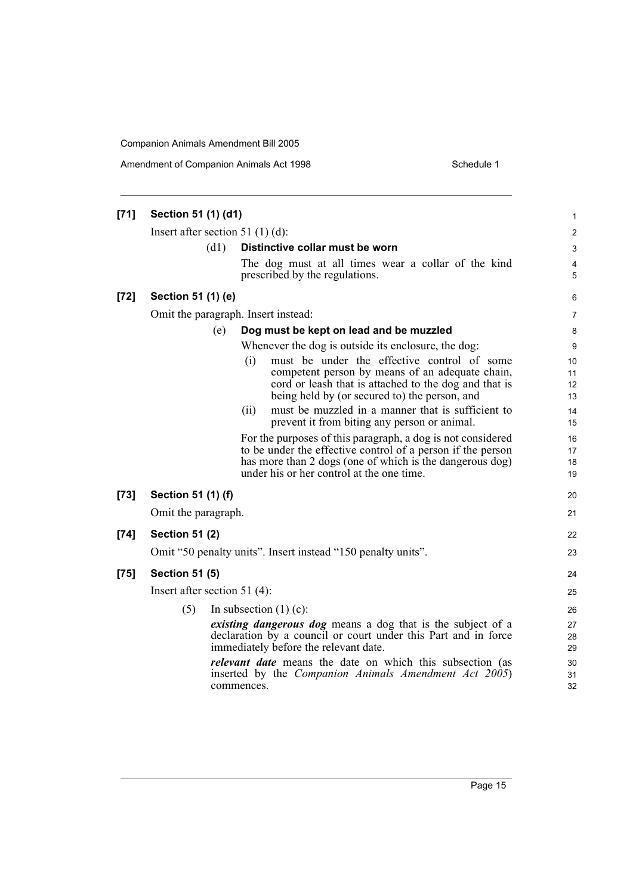| $[71]$ | Section 51 (1) (d1)             |                                                                                                                                                                                                                                     | $\mathbf{1}$         |
|--------|---------------------------------|-------------------------------------------------------------------------------------------------------------------------------------------------------------------------------------------------------------------------------------|----------------------|
|        |                                 | Insert after section 51 (1) (d):                                                                                                                                                                                                    | $\overline{2}$       |
|        | (d1)                            | Distinctive collar must be worn                                                                                                                                                                                                     | 3                    |
|        |                                 | The dog must at all times wear a collar of the kind<br>prescribed by the regulations.                                                                                                                                               | 4<br>5               |
| $[72]$ | Section 51 (1) (e)              |                                                                                                                                                                                                                                     | 6                    |
|        |                                 | Omit the paragraph. Insert instead:                                                                                                                                                                                                 | $\overline{7}$       |
|        |                                 | Dog must be kept on lead and be muzzled<br>(e)                                                                                                                                                                                      | 8                    |
|        |                                 | Whenever the dog is outside its enclosure, the dog:                                                                                                                                                                                 | 9                    |
|        |                                 | must be under the effective control of some<br>(i)<br>competent person by means of an adequate chain,<br>cord or leash that is attached to the dog and that is<br>being held by (or secured to) the person, and                     | 10<br>11<br>12<br>13 |
|        |                                 | must be muzzled in a manner that is sufficient to<br>(ii)<br>prevent it from biting any person or animal.                                                                                                                           | 14<br>15             |
|        |                                 | For the purposes of this paragraph, a dog is not considered<br>to be under the effective control of a person if the person<br>has more than 2 dogs (one of which is the dangerous dog)<br>under his or her control at the one time. | 16<br>17<br>18<br>19 |
| $[73]$ | Section 51 (1) (f)              |                                                                                                                                                                                                                                     | 20                   |
|        | Omit the paragraph.             |                                                                                                                                                                                                                                     | 21                   |
| $[74]$ | <b>Section 51 (2)</b>           |                                                                                                                                                                                                                                     | 22                   |
|        |                                 | Omit "50 penalty units". Insert instead "150 penalty units".                                                                                                                                                                        | 23                   |
| $[75]$ | <b>Section 51 (5)</b>           |                                                                                                                                                                                                                                     | 24                   |
|        | Insert after section 51 $(4)$ : |                                                                                                                                                                                                                                     | 25                   |
|        | (5)                             | In subsection $(1)$ (c):                                                                                                                                                                                                            | 26                   |
|        |                                 | <i>existing dangerous dog</i> means a dog that is the subject of a<br>declaration by a council or court under this Part and in force<br>immediately before the relevant date.                                                       | 27<br>28<br>29       |
|        |                                 | <i>relevant date</i> means the date on which this subsection (as<br>inserted by the <i>Companion Animals Amendment Act 2005</i> )<br>commences.                                                                                     | 30<br>31<br>32       |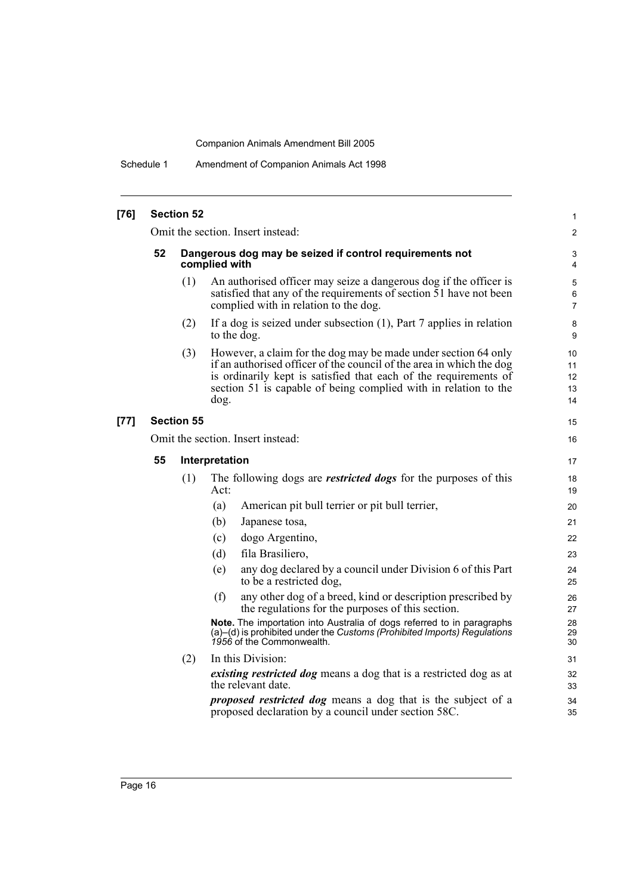| $[76]$ |    | <b>Section 52</b> |                                                                                                                                                                                                                                                                                       | $\mathbf{1}$               |
|--------|----|-------------------|---------------------------------------------------------------------------------------------------------------------------------------------------------------------------------------------------------------------------------------------------------------------------------------|----------------------------|
|        |    |                   | Omit the section. Insert instead:                                                                                                                                                                                                                                                     | 2                          |
|        | 52 |                   | Dangerous dog may be seized if control requirements not<br>complied with                                                                                                                                                                                                              | 3<br>4                     |
|        |    | (1)               | An authorised officer may seize a dangerous dog if the officer is<br>satisfied that any of the requirements of section 51 have not been<br>complied with in relation to the dog.                                                                                                      | 5<br>6<br>$\overline{7}$   |
|        |    | (2)               | If a dog is seized under subsection $(1)$ , Part 7 applies in relation<br>to the dog.                                                                                                                                                                                                 | 8<br>9                     |
|        |    | (3)               | However, a claim for the dog may be made under section 64 only<br>if an authorised officer of the council of the area in which the dog<br>is ordinarily kept is satisfied that each of the requirements of<br>section 51 is capable of being complied with in relation to the<br>dog. | 10<br>11<br>12<br>13<br>14 |
| $[77]$ |    | <b>Section 55</b> |                                                                                                                                                                                                                                                                                       | 15                         |
|        |    |                   | Omit the section. Insert instead:                                                                                                                                                                                                                                                     | 16                         |
|        | 55 |                   | Interpretation                                                                                                                                                                                                                                                                        | 17                         |
|        |    | (1)               | The following dogs are <i>restricted dogs</i> for the purposes of this<br>Act:                                                                                                                                                                                                        | 18<br>19                   |
|        |    |                   | American pit bull terrier or pit bull terrier,<br>(a)                                                                                                                                                                                                                                 | 20                         |
|        |    |                   | (b)<br>Japanese tosa,                                                                                                                                                                                                                                                                 | 21                         |
|        |    |                   | (c)<br>dogo Argentino,                                                                                                                                                                                                                                                                | 22                         |
|        |    |                   | (d)<br>fila Brasiliero,                                                                                                                                                                                                                                                               | 23                         |
|        |    |                   | any dog declared by a council under Division 6 of this Part<br>(e)<br>to be a restricted dog,                                                                                                                                                                                         | 24<br>25                   |
|        |    |                   | (f)<br>any other dog of a breed, kind or description prescribed by<br>the regulations for the purposes of this section.                                                                                                                                                               | 26<br>27                   |
|        |    |                   | Note. The importation into Australia of dogs referred to in paragraphs<br>(a)–(d) is prohibited under the Customs (Prohibited Imports) Regulations<br>1956 of the Commonwealth.                                                                                                       | 28<br>29<br>30             |
|        |    | (2)               | In this Division:                                                                                                                                                                                                                                                                     | 31                         |
|        |    |                   | <i>existing restricted dog</i> means a dog that is a restricted dog as at<br>the relevant date.                                                                                                                                                                                       | 32<br>33                   |
|        |    |                   | <i>proposed restricted dog means a dog that is the subject of a</i><br>proposed declaration by a council under section 58C.                                                                                                                                                           | 34<br>35                   |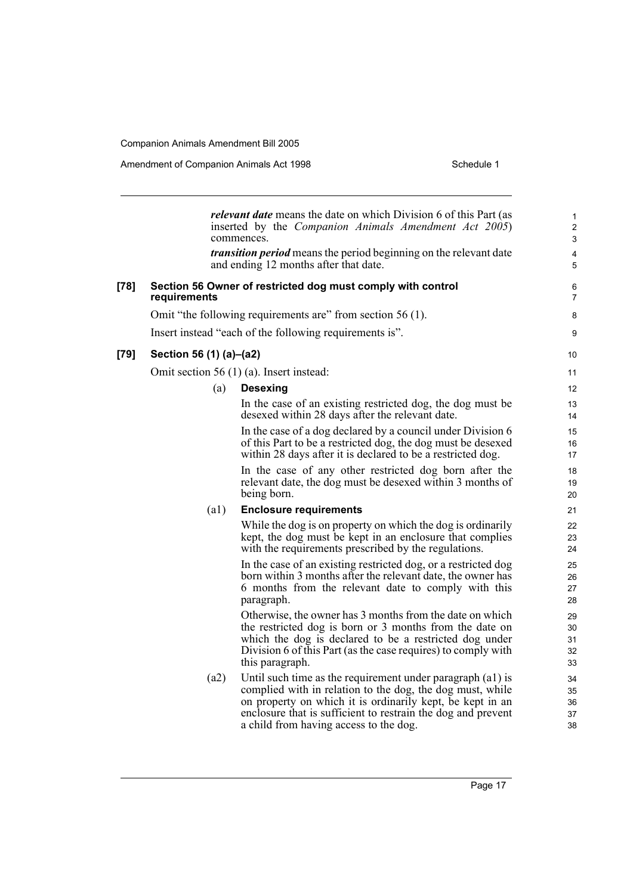|        |                         | <i>relevant date</i> means the date on which Division 6 of this Part (as<br>inserted by the <i>Companion Animals Amendment Act 2005</i> )<br>commences.<br><i>transition period</i> means the period beginning on the relevant date                                                            | 1<br>$\overline{\mathbf{c}}$<br>3<br>4 |
|--------|-------------------------|------------------------------------------------------------------------------------------------------------------------------------------------------------------------------------------------------------------------------------------------------------------------------------------------|----------------------------------------|
|        |                         | and ending 12 months after that date.                                                                                                                                                                                                                                                          | 5                                      |
| $[78]$ | requirements            | Section 56 Owner of restricted dog must comply with control                                                                                                                                                                                                                                    | 6<br>7                                 |
|        |                         | Omit "the following requirements are" from section 56 (1).                                                                                                                                                                                                                                     | 8                                      |
|        |                         | Insert instead "each of the following requirements is".                                                                                                                                                                                                                                        | 9                                      |
| $[79]$ | Section 56 (1) (a)-(a2) |                                                                                                                                                                                                                                                                                                | 10                                     |
|        |                         | Omit section 56 $(1)$ (a). Insert instead:                                                                                                                                                                                                                                                     | 11                                     |
|        | (a)                     | <b>Desexing</b>                                                                                                                                                                                                                                                                                | 12                                     |
|        |                         | In the case of an existing restricted dog, the dog must be<br>desexed within 28 days after the relevant date.                                                                                                                                                                                  | 13<br>14                               |
|        |                         | In the case of a dog declared by a council under Division 6<br>of this Part to be a restricted dog, the dog must be desexed<br>within 28 days after it is declared to be a restricted dog.                                                                                                     | 15<br>16<br>17                         |
|        |                         | In the case of any other restricted dog born after the<br>relevant date, the dog must be desexed within 3 months of<br>being born.                                                                                                                                                             | 18<br>19<br>20                         |
|        | (a1)                    | <b>Enclosure requirements</b>                                                                                                                                                                                                                                                                  | 21                                     |
|        |                         | While the dog is on property on which the dog is ordinarily<br>kept, the dog must be kept in an enclosure that complies<br>with the requirements prescribed by the regulations.                                                                                                                | 22<br>23<br>24                         |
|        |                         | In the case of an existing restricted dog, or a restricted dog<br>born within 3 months after the relevant date, the owner has<br>6 months from the relevant date to comply with this<br>paragraph.                                                                                             | 25<br>26<br>27<br>28                   |
|        |                         | Otherwise, the owner has 3 months from the date on which<br>the restricted dog is born or 3 months from the date on<br>which the dog is declared to be a restricted dog under<br>Division 6 of this Part (as the case requires) to comply with<br>this paragraph.                              | 29<br>30<br>31<br>32<br>33             |
|        | (a2)                    | Until such time as the requirement under paragraph (a1) is<br>complied with in relation to the dog, the dog must, while<br>on property on which it is ordinarily kept, be kept in an<br>enclosure that is sufficient to restrain the dog and prevent<br>a child from having access to the dog. | 34<br>35<br>36<br>37<br>38             |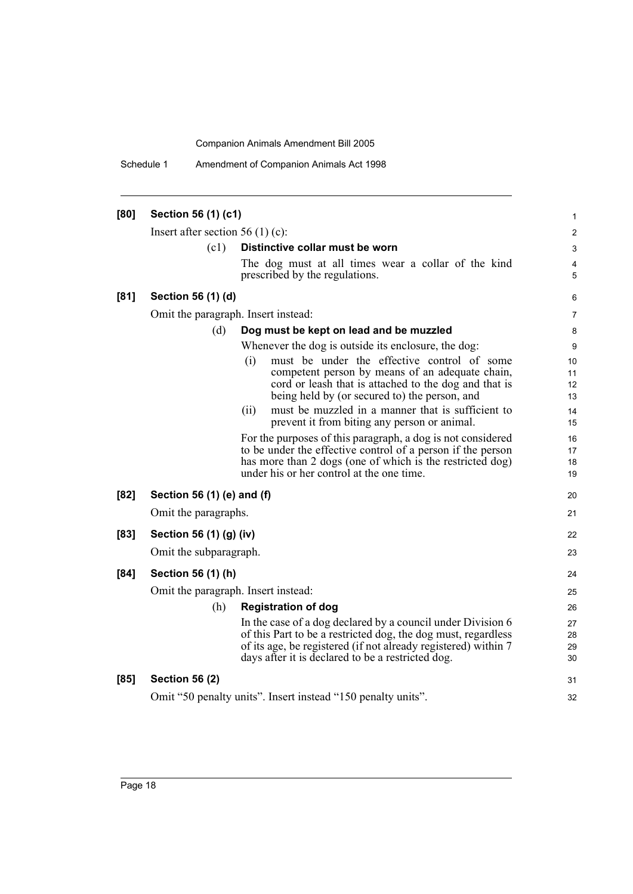| [80] | Section 56 (1) (c1)                 |                                                                                                                                                                                                                                                     | 1                       |  |
|------|-------------------------------------|-----------------------------------------------------------------------------------------------------------------------------------------------------------------------------------------------------------------------------------------------------|-------------------------|--|
|      | Insert after section 56 (1) (c):    |                                                                                                                                                                                                                                                     | $\overline{\mathbf{c}}$ |  |
|      | (c1)                                | Distinctive collar must be worn                                                                                                                                                                                                                     | 3                       |  |
|      |                                     | The dog must at all times wear a collar of the kind<br>prescribed by the regulations.                                                                                                                                                               | 4<br>5                  |  |
| [81] | Section 56 (1) (d)                  |                                                                                                                                                                                                                                                     | 6                       |  |
|      | Omit the paragraph. Insert instead: |                                                                                                                                                                                                                                                     | 7                       |  |
|      | (d)                                 | Dog must be kept on lead and be muzzled                                                                                                                                                                                                             | 8                       |  |
|      |                                     | Whenever the dog is outside its enclosure, the dog:                                                                                                                                                                                                 | 9                       |  |
|      |                                     | must be under the effective control of some<br>(i)<br>competent person by means of an adequate chain,<br>cord or leash that is attached to the dog and that is<br>being held by (or secured to) the person, and                                     | 10<br>11<br>12<br>13    |  |
|      |                                     | must be muzzled in a manner that is sufficient to<br>(ii)<br>prevent it from biting any person or animal.                                                                                                                                           | 14<br>15                |  |
|      |                                     | For the purposes of this paragraph, a dog is not considered<br>to be under the effective control of a person if the person<br>has more than 2 dogs (one of which is the restricted dog)<br>under his or her control at the one time.                | 16<br>17<br>18<br>19    |  |
| [82] | Section 56 (1) (e) and (f)          |                                                                                                                                                                                                                                                     | 20                      |  |
|      | Omit the paragraphs.                |                                                                                                                                                                                                                                                     | 21                      |  |
| [83] | Section 56 (1) (g) (iv)             |                                                                                                                                                                                                                                                     | 22                      |  |
|      | Omit the subparagraph.              |                                                                                                                                                                                                                                                     | 23                      |  |
| [84] | Section 56 (1) (h)                  |                                                                                                                                                                                                                                                     | 24                      |  |
|      | Omit the paragraph. Insert instead: |                                                                                                                                                                                                                                                     |                         |  |
|      | (h)                                 | <b>Registration of dog</b>                                                                                                                                                                                                                          | 26                      |  |
|      |                                     | In the case of a dog declared by a council under Division 6<br>of this Part to be a restricted dog, the dog must, regardless<br>of its age, be registered (if not already registered) within 7<br>days after it is declared to be a restricted dog. | 27<br>28<br>29<br>30    |  |
| [85] | <b>Section 56 (2)</b>               |                                                                                                                                                                                                                                                     | 31                      |  |
|      |                                     | Omit "50 penalty units". Insert instead "150 penalty units".                                                                                                                                                                                        | 32                      |  |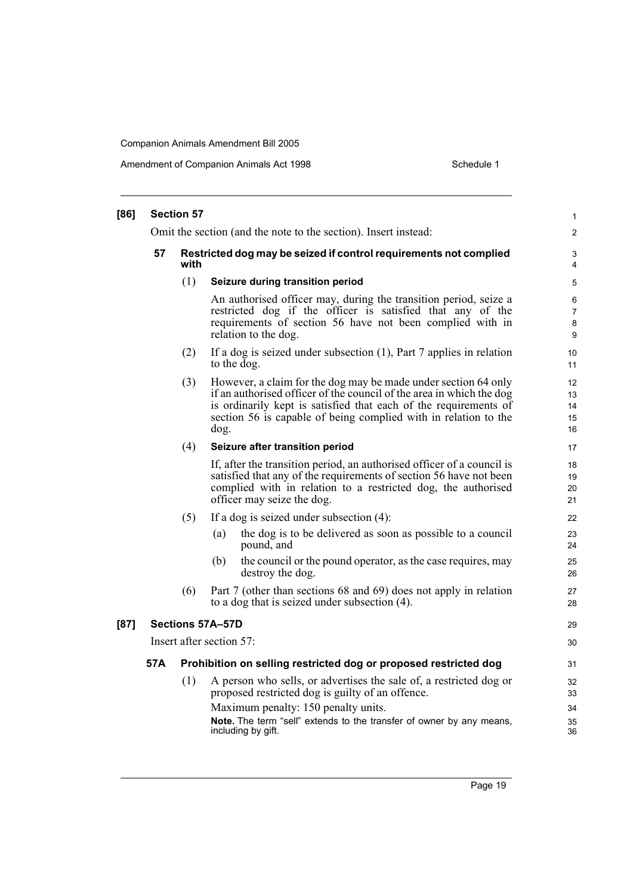| [86] |                                                                 | <b>Section 57</b> |                                                                                                                                                                                                                                                                                       | $\mathbf{1}$                  |
|------|-----------------------------------------------------------------|-------------------|---------------------------------------------------------------------------------------------------------------------------------------------------------------------------------------------------------------------------------------------------------------------------------------|-------------------------------|
|      | Omit the section (and the note to the section). Insert instead: |                   |                                                                                                                                                                                                                                                                                       | $\overline{2}$                |
|      | 57                                                              | with              | Restricted dog may be seized if control requirements not complied                                                                                                                                                                                                                     | 3<br>$\overline{4}$           |
|      |                                                                 | (1)               | Seizure during transition period                                                                                                                                                                                                                                                      | 5                             |
|      |                                                                 |                   | An authorised officer may, during the transition period, seize a<br>restricted dog if the officer is satisfied that any of the<br>requirements of section 56 have not been complied with in<br>relation to the dog.                                                                   | 6<br>$\overline{7}$<br>8<br>9 |
|      |                                                                 | (2)               | If a dog is seized under subsection $(1)$ , Part 7 applies in relation<br>to the dog.                                                                                                                                                                                                 | 10<br>11                      |
|      |                                                                 | (3)               | However, a claim for the dog may be made under section 64 only<br>if an authorised officer of the council of the area in which the dog<br>is ordinarily kept is satisfied that each of the requirements of<br>section 56 is capable of being complied with in relation to the<br>dog. | 12<br>13<br>14<br>15<br>16    |
|      |                                                                 | (4)               | Seizure after transition period                                                                                                                                                                                                                                                       | 17                            |
|      |                                                                 |                   | If, after the transition period, an authorised officer of a council is<br>satisfied that any of the requirements of section 56 have not been<br>complied with in relation to a restricted dog, the authorised<br>officer may seize the dog.                                           | 18<br>19<br>20<br>21          |
|      |                                                                 | (5)               | If a dog is seized under subsection $(4)$ :                                                                                                                                                                                                                                           | 22                            |
|      |                                                                 |                   | the dog is to be delivered as soon as possible to a council<br>(a)<br>pound, and                                                                                                                                                                                                      | 23<br>24                      |
|      |                                                                 |                   | the council or the pound operator, as the case requires, may<br>(b)<br>destroy the dog.                                                                                                                                                                                               | 25<br>26                      |
|      |                                                                 | (6)               | Part 7 (other than sections 68 and 69) does not apply in relation<br>to a dog that is seized under subsection (4).                                                                                                                                                                    | 27<br>28                      |
| [87] |                                                                 |                   | Sections 57A-57D                                                                                                                                                                                                                                                                      | 29                            |
|      |                                                                 |                   | Insert after section 57:                                                                                                                                                                                                                                                              | 30                            |
|      | 57A                                                             |                   | Prohibition on selling restricted dog or proposed restricted dog                                                                                                                                                                                                                      | 31                            |
|      |                                                                 | (1)               | A person who sells, or advertises the sale of, a restricted dog or<br>proposed restricted dog is guilty of an offence.<br>Maximum penalty: 150 penalty units.<br>Note. The term "sell" extends to the transfer of owner by any means,                                                 | 32<br>33<br>34<br>35          |
|      |                                                                 |                   | including by gift.                                                                                                                                                                                                                                                                    | 36                            |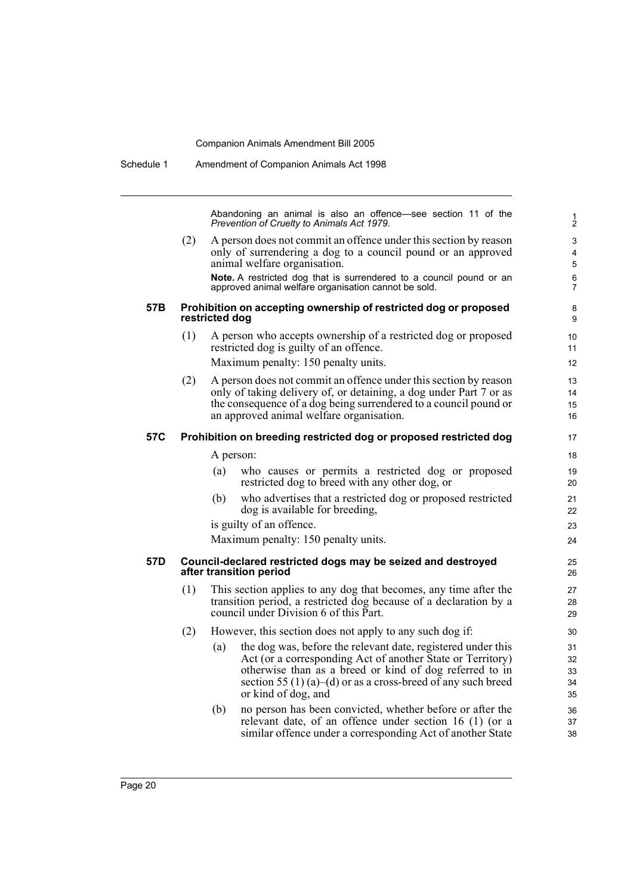Abandoning an animal is also an offence—see section 11 of the *Prevention of Cruelty to Animals Act 1979*.

|     |     | <i>ICVOIRION OF ORGONY TO FIRMING FIGHT 1979.</i>                                                                                                                                                                                                                                               | ∼                                  |
|-----|-----|-------------------------------------------------------------------------------------------------------------------------------------------------------------------------------------------------------------------------------------------------------------------------------------------------|------------------------------------|
|     | (2) | A person does not commit an offence under this section by reason<br>only of surrendering a dog to a council pound or an approved<br>animal welfare organisation.<br>Note. A restricted dog that is surrendered to a council pound or an<br>approved animal welfare organisation cannot be sold. | 3<br>4<br>5<br>6<br>$\overline{7}$ |
| 57B |     | Prohibition on accepting ownership of restricted dog or proposed<br>restricted dog                                                                                                                                                                                                              | 8<br>9                             |
|     | (1) | A person who accepts ownership of a restricted dog or proposed<br>restricted dog is guilty of an offence.<br>Maximum penalty: 150 penalty units.                                                                                                                                                | 10<br>11<br>12                     |
|     | (2) | A person does not commit an offence under this section by reason<br>only of taking delivery of, or detaining, a dog under Part 7 or as<br>the consequence of a dog being surrendered to a council pound or<br>an approved animal welfare organisation.                                          | 13<br>14<br>15<br>16               |
| 57C |     | Prohibition on breeding restricted dog or proposed restricted dog                                                                                                                                                                                                                               | 17                                 |
|     |     | A person:<br>(a)<br>who causes or permits a restricted dog or proposed<br>restricted dog to breed with any other dog, or<br>who advertises that a restricted dog or proposed restricted<br>(b)<br>dog is available for breeding,                                                                | 18<br>19<br>20<br>21<br>22         |
|     |     | is guilty of an offence.                                                                                                                                                                                                                                                                        | 23                                 |
|     |     | Maximum penalty: 150 penalty units.                                                                                                                                                                                                                                                             | 24                                 |
| 57D |     | Council-declared restricted dogs may be seized and destroyed<br>after transition period                                                                                                                                                                                                         | 25<br>26                           |
|     | (1) | This section applies to any dog that becomes, any time after the<br>transition period, a restricted dog because of a declaration by a<br>council under Division 6 of this Part.                                                                                                                 | 27<br>28<br>29                     |
|     | (2) | However, this section does not apply to any such dog if:                                                                                                                                                                                                                                        | 30                                 |
|     |     | the dog was, before the relevant date, registered under this<br>(a)<br>Act (or a corresponding Act of another State or Territory)<br>otherwise than as a breed or kind of dog referred to in<br>section 55 (1) (a)–(d) or as a cross-breed of any such breed<br>or kind of dog, and             | 31<br>32<br>33<br>34<br>35         |
|     |     | no person has been convicted, whether before or after the<br>(b)<br>relevant date, of an offence under section 16 (1) (or a<br>similar offence under a corresponding Act of another State                                                                                                       | 36<br>37<br>38                     |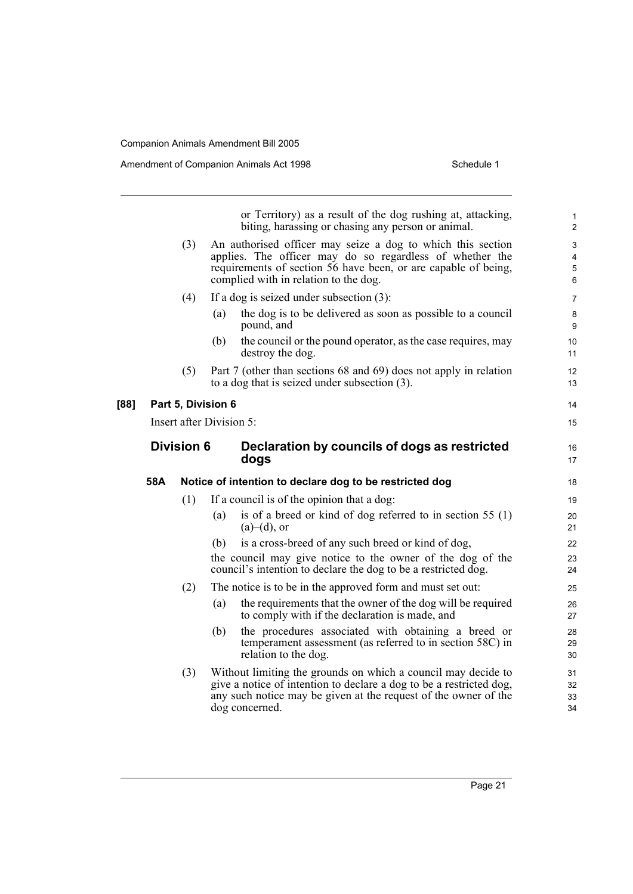|      |                    |     | or Territory) as a result of the dog rushing at, attacking,<br>biting, harassing or chasing any person or animal.                                                                                                         | $\mathbf{1}$<br>2    |
|------|--------------------|-----|---------------------------------------------------------------------------------------------------------------------------------------------------------------------------------------------------------------------------|----------------------|
|      |                    | (3) | An authorised officer may seize a dog to which this section                                                                                                                                                               | $\mathsf 3$          |
|      |                    |     | applies. The officer may do so regardless of whether the                                                                                                                                                                  | 4                    |
|      |                    |     | requirements of section 56 have been, or are capable of being,<br>complied with in relation to the dog.                                                                                                                   | $\mathbf 5$<br>6     |
|      |                    | (4) | If a dog is seized under subsection $(3)$ :                                                                                                                                                                               | $\overline{7}$       |
|      |                    |     | the dog is to be delivered as soon as possible to a council<br>(a)<br>pound, and                                                                                                                                          | 8<br>9               |
|      |                    |     | (b)<br>the council or the pound operator, as the case requires, may<br>destroy the dog.                                                                                                                                   | 10<br>11             |
|      |                    | (5) | Part 7 (other than sections 68 and 69) does not apply in relation<br>to a dog that is seized under subsection (3).                                                                                                        | 12<br>13             |
| [88] | Part 5, Division 6 |     |                                                                                                                                                                                                                           | 14                   |
|      |                    |     | Insert after Division 5:                                                                                                                                                                                                  | 15                   |
|      | <b>Division 6</b>  |     | Declaration by councils of dogs as restricted                                                                                                                                                                             | 16                   |
|      |                    |     | dogs                                                                                                                                                                                                                      | 17                   |
|      | 58A                |     | Notice of intention to declare dog to be restricted dog                                                                                                                                                                   | 18                   |
|      |                    | (1) | If a council is of the opinion that a dog:                                                                                                                                                                                | 19                   |
|      |                    |     | is of a breed or kind of dog referred to in section $55(1)$<br>(a)<br>$(a)–(d)$ , or                                                                                                                                      | 20<br>21             |
|      |                    |     | is a cross-breed of any such breed or kind of dog,<br>(b)                                                                                                                                                                 | 22                   |
|      |                    |     | the council may give notice to the owner of the dog of the<br>council's intention to declare the dog to be a restricted dog.                                                                                              | 23<br>24             |
|      |                    | (2) | The notice is to be in the approved form and must set out:                                                                                                                                                                | 25                   |
|      |                    |     | the requirements that the owner of the dog will be required<br>(a)<br>to comply with if the declaration is made, and                                                                                                      | 26<br>27             |
|      |                    |     | the procedures associated with obtaining a breed or<br>(b)<br>temperament assessment (as referred to in section 58C) in<br>relation to the dog.                                                                           | 28<br>29<br>30       |
|      |                    | (3) | Without limiting the grounds on which a council may decide to<br>give a notice of intention to declare a dog to be a restricted dog,<br>any such notice may be given at the request of the owner of the<br>dog concerned. | 31<br>32<br>33<br>34 |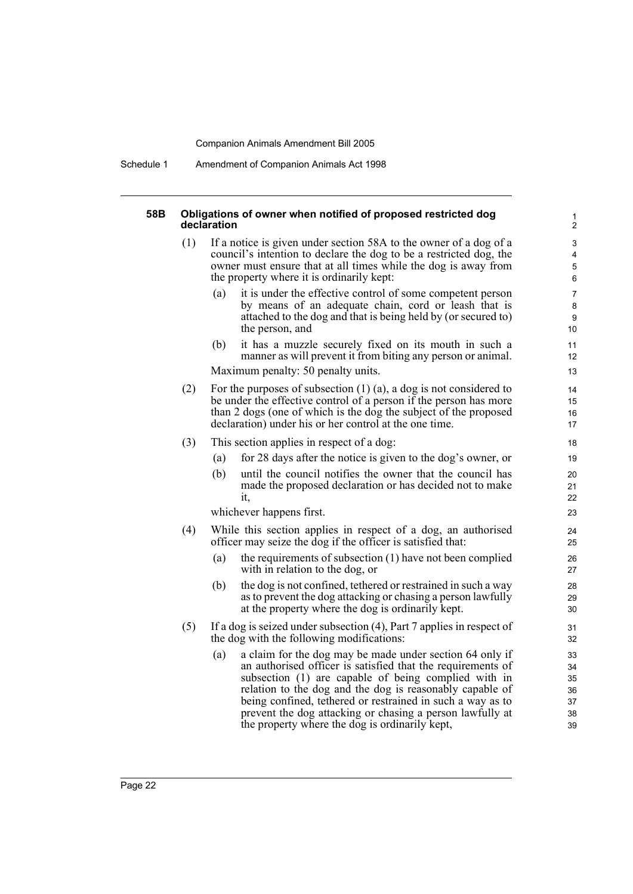Schedule 1 Amendment of Companion Animals Act 1998

### **58B Obligations of owner when notified of proposed restricted dog declaration**

|                                                             | 1<br>$\overline{c}$                                                                                                                                                                                                                                                                                                                                                                                                                                                                                                                                                                                                                                                                                                                                                                                                                                                                                                                                                                                                                                                                                                                                                                                                                                                                                                                                                                                                                                                                                                                                                                                                                                                                                                                                                                  |
|-------------------------------------------------------------|--------------------------------------------------------------------------------------------------------------------------------------------------------------------------------------------------------------------------------------------------------------------------------------------------------------------------------------------------------------------------------------------------------------------------------------------------------------------------------------------------------------------------------------------------------------------------------------------------------------------------------------------------------------------------------------------------------------------------------------------------------------------------------------------------------------------------------------------------------------------------------------------------------------------------------------------------------------------------------------------------------------------------------------------------------------------------------------------------------------------------------------------------------------------------------------------------------------------------------------------------------------------------------------------------------------------------------------------------------------------------------------------------------------------------------------------------------------------------------------------------------------------------------------------------------------------------------------------------------------------------------------------------------------------------------------------------------------------------------------------------------------------------------------|
| the property where it is ordinarily kept:                   | 3<br>4<br>$\,$ 5 $\,$<br>6                                                                                                                                                                                                                                                                                                                                                                                                                                                                                                                                                                                                                                                                                                                                                                                                                                                                                                                                                                                                                                                                                                                                                                                                                                                                                                                                                                                                                                                                                                                                                                                                                                                                                                                                                           |
| (a)<br>the person, and                                      | 7<br>8<br>9<br>10                                                                                                                                                                                                                                                                                                                                                                                                                                                                                                                                                                                                                                                                                                                                                                                                                                                                                                                                                                                                                                                                                                                                                                                                                                                                                                                                                                                                                                                                                                                                                                                                                                                                                                                                                                    |
| (b)                                                         | 11<br>12                                                                                                                                                                                                                                                                                                                                                                                                                                                                                                                                                                                                                                                                                                                                                                                                                                                                                                                                                                                                                                                                                                                                                                                                                                                                                                                                                                                                                                                                                                                                                                                                                                                                                                                                                                             |
|                                                             | 13                                                                                                                                                                                                                                                                                                                                                                                                                                                                                                                                                                                                                                                                                                                                                                                                                                                                                                                                                                                                                                                                                                                                                                                                                                                                                                                                                                                                                                                                                                                                                                                                                                                                                                                                                                                   |
| declaration) under his or her control at the one time.      | 14<br>15<br>16<br>17                                                                                                                                                                                                                                                                                                                                                                                                                                                                                                                                                                                                                                                                                                                                                                                                                                                                                                                                                                                                                                                                                                                                                                                                                                                                                                                                                                                                                                                                                                                                                                                                                                                                                                                                                                 |
| This section applies in respect of a dog:                   | 18                                                                                                                                                                                                                                                                                                                                                                                                                                                                                                                                                                                                                                                                                                                                                                                                                                                                                                                                                                                                                                                                                                                                                                                                                                                                                                                                                                                                                                                                                                                                                                                                                                                                                                                                                                                   |
| (a)                                                         | 19                                                                                                                                                                                                                                                                                                                                                                                                                                                                                                                                                                                                                                                                                                                                                                                                                                                                                                                                                                                                                                                                                                                                                                                                                                                                                                                                                                                                                                                                                                                                                                                                                                                                                                                                                                                   |
| (b)                                                         | 20<br>21<br>22                                                                                                                                                                                                                                                                                                                                                                                                                                                                                                                                                                                                                                                                                                                                                                                                                                                                                                                                                                                                                                                                                                                                                                                                                                                                                                                                                                                                                                                                                                                                                                                                                                                                                                                                                                       |
| whichever happens first.                                    | 23                                                                                                                                                                                                                                                                                                                                                                                                                                                                                                                                                                                                                                                                                                                                                                                                                                                                                                                                                                                                                                                                                                                                                                                                                                                                                                                                                                                                                                                                                                                                                                                                                                                                                                                                                                                   |
| officer may seize the dog if the officer is satisfied that: | 24<br>25                                                                                                                                                                                                                                                                                                                                                                                                                                                                                                                                                                                                                                                                                                                                                                                                                                                                                                                                                                                                                                                                                                                                                                                                                                                                                                                                                                                                                                                                                                                                                                                                                                                                                                                                                                             |
| (a)<br>with in relation to the dog, or                      | 26<br>27                                                                                                                                                                                                                                                                                                                                                                                                                                                                                                                                                                                                                                                                                                                                                                                                                                                                                                                                                                                                                                                                                                                                                                                                                                                                                                                                                                                                                                                                                                                                                                                                                                                                                                                                                                             |
| (b)<br>at the property where the dog is ordinarily kept.    | 28<br>29<br>30                                                                                                                                                                                                                                                                                                                                                                                                                                                                                                                                                                                                                                                                                                                                                                                                                                                                                                                                                                                                                                                                                                                                                                                                                                                                                                                                                                                                                                                                                                                                                                                                                                                                                                                                                                       |
| the dog with the following modifications:                   | 31<br>32                                                                                                                                                                                                                                                                                                                                                                                                                                                                                                                                                                                                                                                                                                                                                                                                                                                                                                                                                                                                                                                                                                                                                                                                                                                                                                                                                                                                                                                                                                                                                                                                                                                                                                                                                                             |
| (a)<br>the property where the dog is ordinarily kept,       | 33<br>34<br>35<br>36<br>37<br>38<br>39                                                                                                                                                                                                                                                                                                                                                                                                                                                                                                                                                                                                                                                                                                                                                                                                                                                                                                                                                                                                                                                                                                                                                                                                                                                                                                                                                                                                                                                                                                                                                                                                                                                                                                                                               |
|                                                             | Obligations of owner when notified of proposed restricted dog<br>declaration<br>If a notice is given under section 58A to the owner of a dog of a<br>council's intention to declare the dog to be a restricted dog, the<br>owner must ensure that at all times while the dog is away from<br>it is under the effective control of some competent person<br>by means of an adequate chain, cord or leash that is<br>attached to the dog and that is being held by (or secured to)<br>it has a muzzle securely fixed on its mouth in such a<br>manner as will prevent it from biting any person or animal.<br>Maximum penalty: 50 penalty units.<br>For the purposes of subsection $(1)$ $(a)$ , a dog is not considered to<br>be under the effective control of a person if the person has more<br>than 2 dogs (one of which is the dog the subject of the proposed<br>for 28 days after the notice is given to the dog's owner, or<br>until the council notifies the owner that the council has<br>made the proposed declaration or has decided not to make<br>it,<br>While this section applies in respect of a dog, an authorised<br>the requirements of subsection (1) have not been complied<br>the dog is not confined, tethered or restrained in such a way<br>as to prevent the dog attacking or chasing a person lawfully<br>If a dog is seized under subsection (4), Part 7 applies in respect of<br>a claim for the dog may be made under section 64 only if<br>an authorised officer is satisfied that the requirements of<br>subsection (1) are capable of being complied with in<br>relation to the dog and the dog is reasonably capable of<br>being confined, tethered or restrained in such a way as to<br>prevent the dog attacking or chasing a person lawfully at |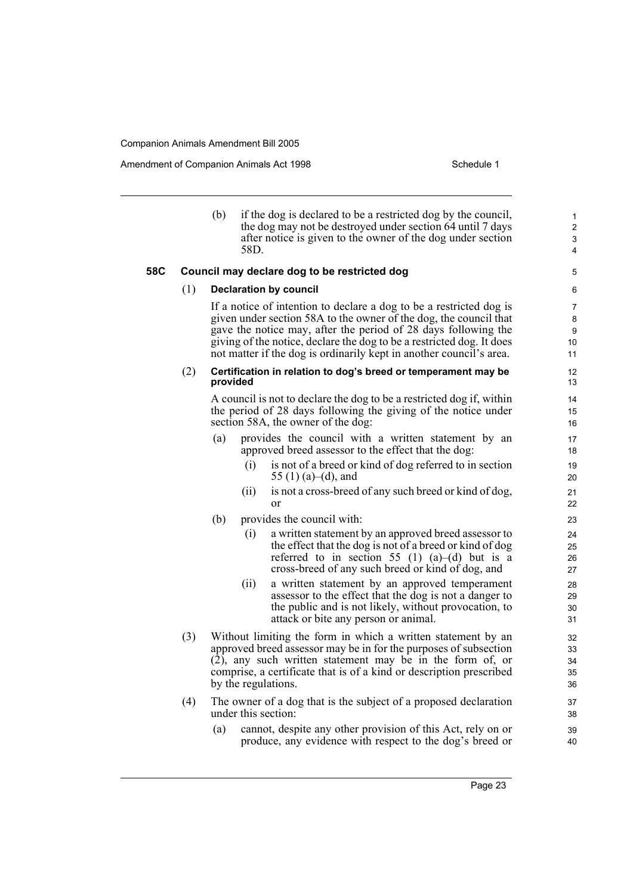Amendment of Companion Animals Act 1998 Schedule 1

| (b) | if the dog is declared to be a restricted dog by the council, |
|-----|---------------------------------------------------------------|
|     | the dog may not be destroyed under section 64 until 7 days    |
|     | after notice is given to the owner of the dog under section   |
|     | 58D.                                                          |

#### **58C Council may declare dog to be restricted dog**

#### (1) **Declaration by council**

If a notice of intention to declare a dog to be a restricted dog is given under section 58A to the owner of the dog, the council that gave the notice may, after the period of 28 days following the giving of the notice, declare the dog to be a restricted dog. It does not matter if the dog is ordinarily kept in another council's area.

#### (2) **Certification in relation to dog's breed or temperament may be provided**

A council is not to declare the dog to be a restricted dog if, within the period of 28 days following the giving of the notice under section 58A, the owner of the dog:

- (a) provides the council with a written statement by an approved breed assessor to the effect that the dog:
	- (i) is not of a breed or kind of dog referred to in section 55 (1) (a)–(d), and
	- (ii) is not a cross-breed of any such breed or kind of dog, or
- (b) provides the council with:
	- (i) a written statement by an approved breed assessor to the effect that the dog is not of a breed or kind of dog referred to in section 55 (1) (a)–(d) but is a cross-breed of any such breed or kind of dog, and
	- (ii) a written statement by an approved temperament assessor to the effect that the dog is not a danger to the public and is not likely, without provocation, to attack or bite any person or animal.
- (3) Without limiting the form in which a written statement by an approved breed assessor may be in for the purposes of subsection (2), any such written statement may be in the form of, or comprise, a certificate that is of a kind or description prescribed by the regulations.
- (4) The owner of a dog that is the subject of a proposed declaration under this section:
	- (a) cannot, despite any other provision of this Act, rely on or produce, any evidence with respect to the dog's breed or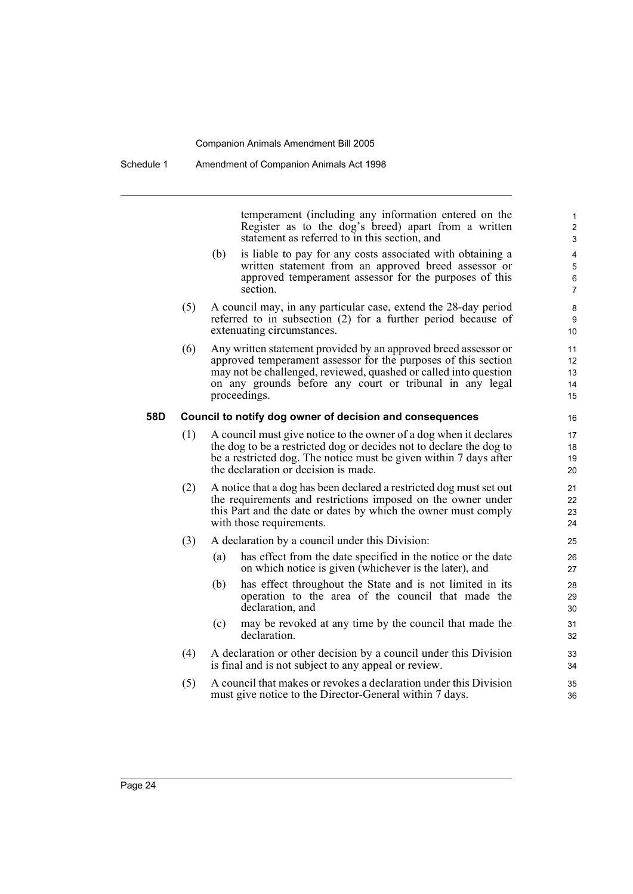temperament (including any information entered on the Register as to the dog's breed) apart from a written statement as referred to in this section, and

- (b) is liable to pay for any costs associated with obtaining a written statement from an approved breed assessor or approved temperament assessor for the purposes of this section.
- (5) A council may, in any particular case, extend the 28-day period referred to in subsection (2) for a further period because of extenuating circumstances.
- (6) Any written statement provided by an approved breed assessor or approved temperament assessor for the purposes of this section may not be challenged, reviewed, quashed or called into question on any grounds before any court or tribunal in any legal proceedings.

#### **58D Council to notify dog owner of decision and consequences**

- (1) A council must give notice to the owner of a dog when it declares the dog to be a restricted dog or decides not to declare the dog to be a restricted dog. The notice must be given within 7 days after the declaration or decision is made.
- (2) A notice that a dog has been declared a restricted dog must set out the requirements and restrictions imposed on the owner under this Part and the date or dates by which the owner must comply with those requirements.
- (3) A declaration by a council under this Division:
	- (a) has effect from the date specified in the notice or the date on which notice is given (whichever is the later), and
	- (b) has effect throughout the State and is not limited in its operation to the area of the council that made the declaration, and
	- (c) may be revoked at any time by the council that made the declaration.
- (4) A declaration or other decision by a council under this Division is final and is not subject to any appeal or review.
- (5) A council that makes or revokes a declaration under this Division must give notice to the Director-General within 7 days.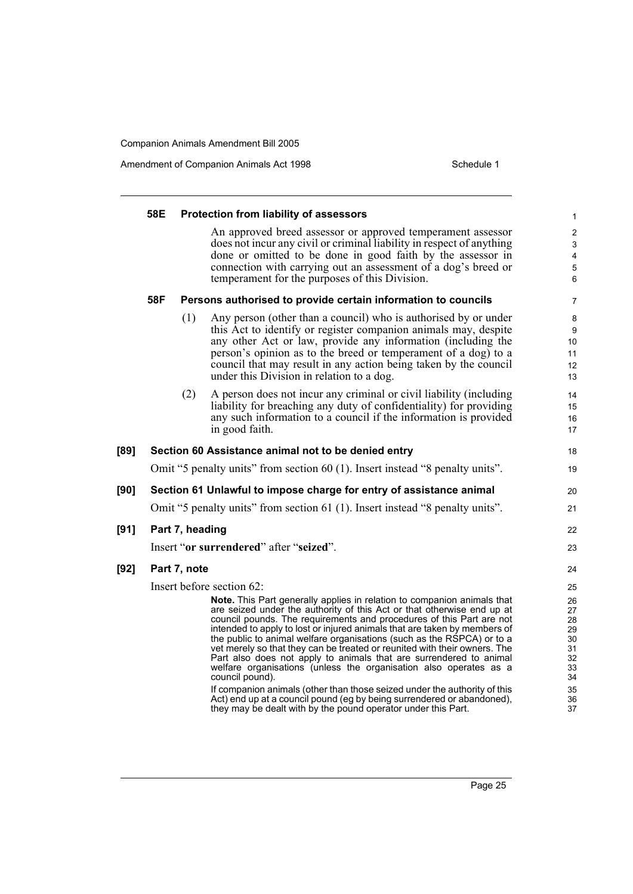|        | 58E |                 | Protection from liability of assessors                                                                                                                                                                                                                                                                                                                                                                                                                                                                                                                                                                                                                                                                   | $\mathbf{1}$                                             |
|--------|-----|-----------------|----------------------------------------------------------------------------------------------------------------------------------------------------------------------------------------------------------------------------------------------------------------------------------------------------------------------------------------------------------------------------------------------------------------------------------------------------------------------------------------------------------------------------------------------------------------------------------------------------------------------------------------------------------------------------------------------------------|----------------------------------------------------------|
|        |     |                 | An approved breed assessor or approved temperament assessor<br>does not incur any civil or criminal liability in respect of anything                                                                                                                                                                                                                                                                                                                                                                                                                                                                                                                                                                     | $\sqrt{2}$<br>$\ensuremath{\mathsf{3}}$                  |
|        |     |                 | done or omitted to be done in good faith by the assessor in<br>connection with carrying out an assessment of a dog's breed or                                                                                                                                                                                                                                                                                                                                                                                                                                                                                                                                                                            | 4<br>$\mathbf 5$                                         |
|        |     |                 | temperament for the purposes of this Division.                                                                                                                                                                                                                                                                                                                                                                                                                                                                                                                                                                                                                                                           | 6                                                        |
|        | 58F |                 | Persons authorised to provide certain information to councils                                                                                                                                                                                                                                                                                                                                                                                                                                                                                                                                                                                                                                            | $\overline{7}$                                           |
|        |     | (1)             | Any person (other than a council) who is authorised by or under                                                                                                                                                                                                                                                                                                                                                                                                                                                                                                                                                                                                                                          | 8                                                        |
|        |     |                 | this Act to identify or register companion animals may, despite                                                                                                                                                                                                                                                                                                                                                                                                                                                                                                                                                                                                                                          | 9                                                        |
|        |     |                 | any other Act or law, provide any information (including the                                                                                                                                                                                                                                                                                                                                                                                                                                                                                                                                                                                                                                             | 10                                                       |
|        |     |                 | person's opinion as to the breed or temperament of a dog) to a                                                                                                                                                                                                                                                                                                                                                                                                                                                                                                                                                                                                                                           | 11                                                       |
|        |     |                 | council that may result in any action being taken by the council<br>under this Division in relation to a dog.                                                                                                                                                                                                                                                                                                                                                                                                                                                                                                                                                                                            | 12<br>13                                                 |
|        |     | (2)             | A person does not incur any criminal or civil liability (including                                                                                                                                                                                                                                                                                                                                                                                                                                                                                                                                                                                                                                       | 14                                                       |
|        |     |                 | liability for breaching any duty of confidentiality) for providing                                                                                                                                                                                                                                                                                                                                                                                                                                                                                                                                                                                                                                       | 15                                                       |
|        |     |                 | any such information to a council if the information is provided                                                                                                                                                                                                                                                                                                                                                                                                                                                                                                                                                                                                                                         | 16                                                       |
|        |     |                 | in good faith.                                                                                                                                                                                                                                                                                                                                                                                                                                                                                                                                                                                                                                                                                           | 17                                                       |
| [89]   |     |                 | Section 60 Assistance animal not to be denied entry                                                                                                                                                                                                                                                                                                                                                                                                                                                                                                                                                                                                                                                      | 18                                                       |
|        |     |                 | Omit "5 penalty units" from section 60 (1). Insert instead "8 penalty units".                                                                                                                                                                                                                                                                                                                                                                                                                                                                                                                                                                                                                            | 19                                                       |
| [90]   |     |                 | Section 61 Unlawful to impose charge for entry of assistance animal                                                                                                                                                                                                                                                                                                                                                                                                                                                                                                                                                                                                                                      | 20                                                       |
|        |     |                 | Omit "5 penalty units" from section 61 (1). Insert instead "8 penalty units".                                                                                                                                                                                                                                                                                                                                                                                                                                                                                                                                                                                                                            | 21                                                       |
| [91]   |     | Part 7, heading |                                                                                                                                                                                                                                                                                                                                                                                                                                                                                                                                                                                                                                                                                                          | 22                                                       |
|        |     |                 | Insert "or surrendered" after "seized".                                                                                                                                                                                                                                                                                                                                                                                                                                                                                                                                                                                                                                                                  | 23                                                       |
| $[92]$ |     | Part 7, note    |                                                                                                                                                                                                                                                                                                                                                                                                                                                                                                                                                                                                                                                                                                          | 24                                                       |
|        |     |                 | Insert before section 62:                                                                                                                                                                                                                                                                                                                                                                                                                                                                                                                                                                                                                                                                                | 25                                                       |
|        |     |                 | Note. This Part generally applies in relation to companion animals that<br>are seized under the authority of this Act or that otherwise end up at<br>council pounds. The requirements and procedures of this Part are not<br>intended to apply to lost or injured animals that are taken by members of<br>the public to animal welfare organisations (such as the RSPCA) or to a<br>vet merely so that they can be treated or reunited with their owners. The<br>Part also does not apply to animals that are surrendered to animal<br>welfare organisations (unless the organisation also operates as a<br>council pound).<br>If companion animals (other than those seized under the authority of this | 26<br>27<br>28<br>29<br>30<br>31<br>32<br>33<br>34<br>35 |
|        |     |                 | Act) end up at a council pound (eg by being surrendered or abandoned),<br>they may be dealt with by the pound operator under this Part.                                                                                                                                                                                                                                                                                                                                                                                                                                                                                                                                                                  | 36<br>37                                                 |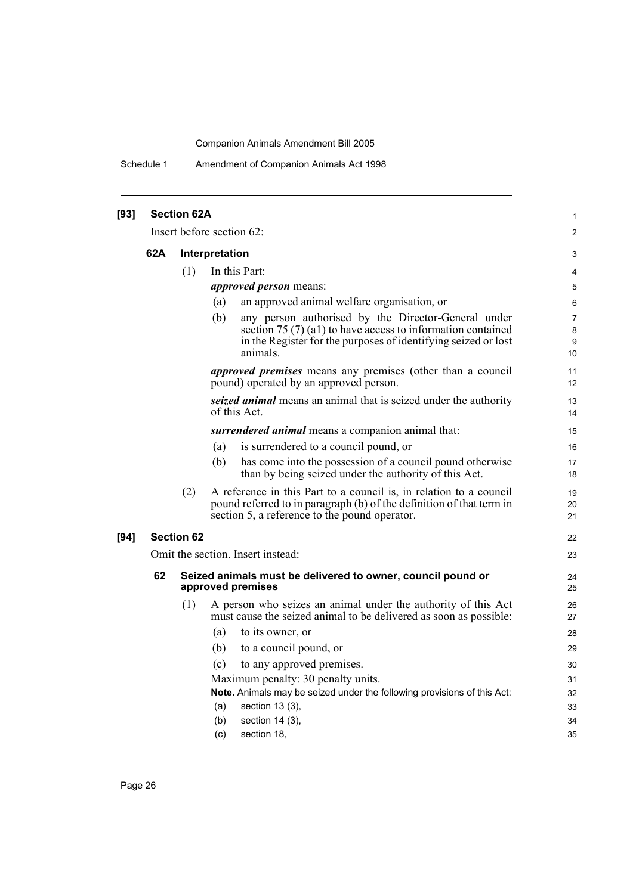| [93] |     | <b>Section 62A</b>        |                |                                                                                                                                                                                                    | $\mathbf{1}$                   |
|------|-----|---------------------------|----------------|----------------------------------------------------------------------------------------------------------------------------------------------------------------------------------------------------|--------------------------------|
|      |     | Insert before section 62: |                |                                                                                                                                                                                                    | $\overline{2}$                 |
|      | 62A |                           | Interpretation |                                                                                                                                                                                                    | 3                              |
|      |     | (1)                       |                | In this Part:                                                                                                                                                                                      | 4                              |
|      |     |                           |                | <i>approved person</i> means:                                                                                                                                                                      | 5                              |
|      |     |                           | (a)            | an approved animal welfare organisation, or                                                                                                                                                        | 6                              |
|      |     |                           | (b)            | any person authorised by the Director-General under<br>section 75 $(7)$ (a1) to have access to information contained<br>in the Register for the purposes of identifying seized or lost<br>animals. | $\overline{7}$<br>8<br>9<br>10 |
|      |     |                           |                | <i>approved premises</i> means any premises (other than a council<br>pound) operated by an approved person.                                                                                        | 11<br>12                       |
|      |     |                           |                | seized animal means an animal that is seized under the authority<br>of this Act.                                                                                                                   | 13<br>14                       |
|      |     |                           |                | surrendered animal means a companion animal that:                                                                                                                                                  | 15                             |
|      |     |                           | (a)            | is surrendered to a council pound, or                                                                                                                                                              | 16                             |
|      |     |                           | (b)            | has come into the possession of a council pound otherwise<br>than by being seized under the authority of this Act.                                                                                 | 17<br>18                       |
|      |     | (2)                       |                | A reference in this Part to a council is, in relation to a council<br>pound referred to in paragraph (b) of the definition of that term in<br>section 5, a reference to the pound operator.        | 19<br>20<br>21                 |
| [94] |     | <b>Section 62</b>         |                |                                                                                                                                                                                                    | 22                             |
|      |     |                           |                | Omit the section. Insert instead:                                                                                                                                                                  | 23                             |
|      | 62  |                           |                | Seized animals must be delivered to owner, council pound or<br>approved premises                                                                                                                   | 24<br>25                       |
|      |     | (1)                       |                | A person who seizes an animal under the authority of this Act<br>must cause the seized animal to be delivered as soon as possible:                                                                 | 26<br>27                       |
|      |     |                           | (a)            | to its owner, or                                                                                                                                                                                   | 28                             |
|      |     |                           | (b)            | to a council pound, or                                                                                                                                                                             | 29                             |
|      |     |                           | (c)            | to any approved premises.                                                                                                                                                                          | 30                             |
|      |     |                           |                | Maximum penalty: 30 penalty units.                                                                                                                                                                 | 31                             |
|      |     |                           |                | Note. Animals may be seized under the following provisions of this Act:                                                                                                                            | 32                             |
|      |     |                           | (a)            | section $13(3)$ ,                                                                                                                                                                                  | 33                             |
|      |     |                           | (b)            | section 14 (3),                                                                                                                                                                                    | 34                             |
|      |     |                           | (c)            | section 18,                                                                                                                                                                                        | 35                             |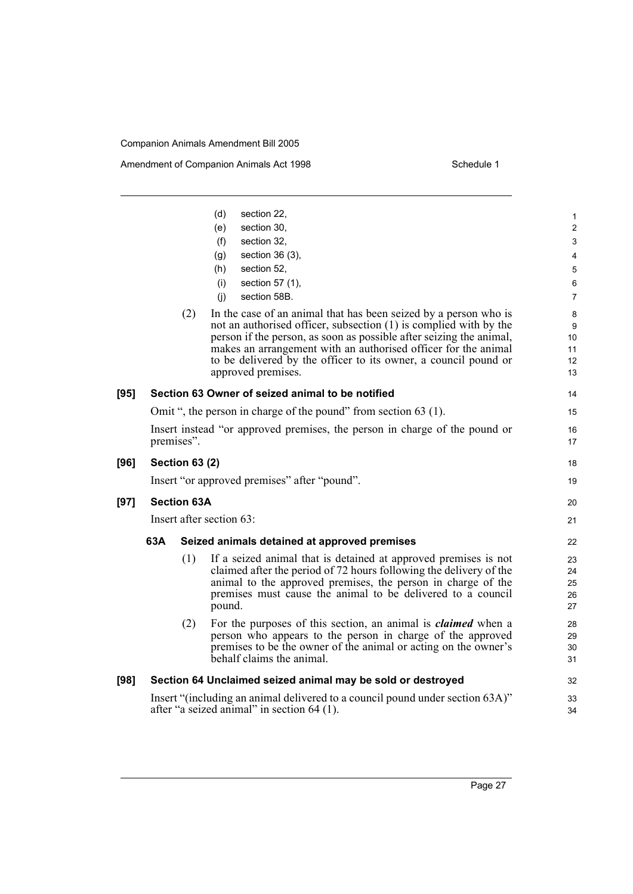|      |     |                       | (d)<br>section 22,<br>(e)<br>section 30,                                                                                              | $\mathbf{1}$<br>2 |
|------|-----|-----------------------|---------------------------------------------------------------------------------------------------------------------------------------|-------------------|
|      |     |                       | (f)<br>section 32.                                                                                                                    | 3                 |
|      |     |                       | section 36 (3),<br>(g)                                                                                                                | 4                 |
|      |     |                       | (h)<br>section 52.                                                                                                                    | $\mathbf 5$       |
|      |     |                       | (i)<br>section 57 (1),                                                                                                                | 6                 |
|      |     |                       | section 58B.<br>(i)                                                                                                                   | $\overline{7}$    |
|      |     | (2)                   | In the case of an animal that has been seized by a person who is                                                                      | 8                 |
|      |     |                       | not an authorised officer, subsection (1) is complied with by the                                                                     | 9                 |
|      |     |                       | person if the person, as soon as possible after seizing the animal,<br>makes an arrangement with an authorised officer for the animal | 10                |
|      |     |                       | to be delivered by the officer to its owner, a council pound or                                                                       | 11<br>12          |
|      |     |                       | approved premises.                                                                                                                    | 13                |
| [95] |     |                       | Section 63 Owner of seized animal to be notified                                                                                      | 14                |
|      |     |                       | Omit ", the person in charge of the pound" from section 63 (1).                                                                       | 15                |
|      |     |                       | Insert instead "or approved premises, the person in charge of the pound or                                                            | 16                |
|      |     | premises".            |                                                                                                                                       | 17                |
| [96] |     | <b>Section 63 (2)</b> |                                                                                                                                       | 18                |
|      |     |                       | Insert "or approved premises" after "pound".                                                                                          | 19                |
| [97] |     | <b>Section 63A</b>    |                                                                                                                                       | 20                |
|      |     |                       | Insert after section 63:                                                                                                              | 21                |
|      | 63A |                       | Seized animals detained at approved premises                                                                                          | 22                |
|      |     | (1)                   | If a seized animal that is detained at approved premises is not                                                                       | 23                |
|      |     |                       | claimed after the period of 72 hours following the delivery of the                                                                    | 24                |
|      |     |                       | animal to the approved premises, the person in charge of the                                                                          | 25                |
|      |     |                       | premises must cause the animal to be delivered to a council<br>pound.                                                                 | 26<br>27          |
|      |     |                       |                                                                                                                                       |                   |
|      |     | (2)                   | For the purposes of this section, an animal is <i>claimed</i> when a                                                                  | 28                |
|      |     |                       | person who appears to the person in charge of the approved<br>premises to be the owner of the animal or acting on the owner's         | 29<br>30          |
|      |     |                       | behalf claims the animal.                                                                                                             | 31                |
| [98] |     |                       | Section 64 Unclaimed seized animal may be sold or destroyed                                                                           | 32                |
|      |     |                       | Insert "(including an animal delivered to a council pound under section 63A)"                                                         | 33                |
|      |     |                       | after "a seized animal" in section 64 (1).                                                                                            | 34                |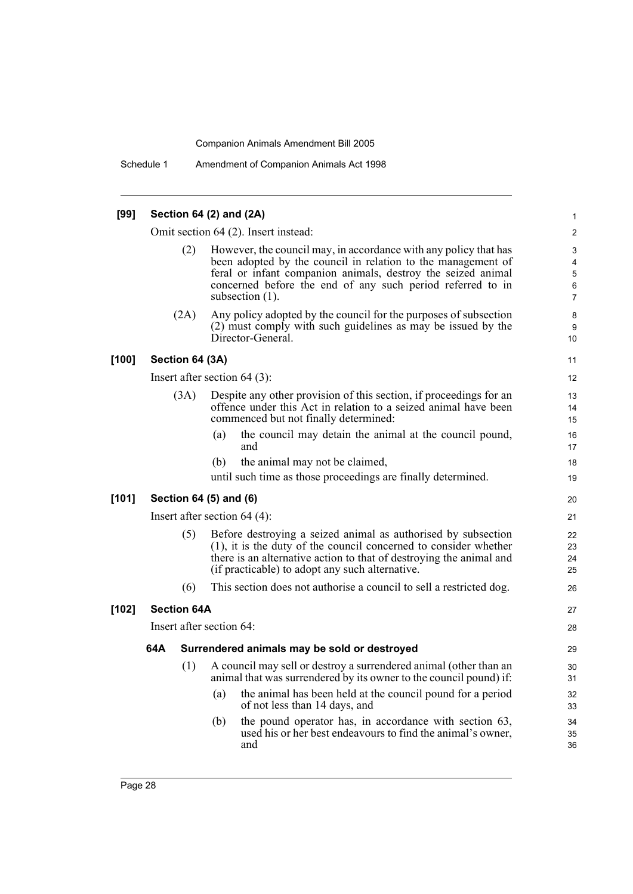| [99]    |     |                          |     | Section 64 (2) and (2A)                                                                                                                                                                                                                                                              | 1                                  |
|---------|-----|--------------------------|-----|--------------------------------------------------------------------------------------------------------------------------------------------------------------------------------------------------------------------------------------------------------------------------------------|------------------------------------|
|         |     |                          |     | Omit section 64 (2). Insert instead:                                                                                                                                                                                                                                                 | 2                                  |
|         |     | (2)                      |     | However, the council may, in accordance with any policy that has<br>been adopted by the council in relation to the management of<br>feral or infant companion animals, destroy the seized animal<br>concerned before the end of any such period referred to in<br>subsection $(1)$ . | 3<br>4<br>5<br>6<br>$\overline{7}$ |
|         |     | (2A)                     |     | Any policy adopted by the council for the purposes of subsection<br>(2) must comply with such guidelines as may be issued by the<br>Director-General.                                                                                                                                | 8<br>9<br>10                       |
| [100]   |     | Section 64 (3A)          |     |                                                                                                                                                                                                                                                                                      | 11                                 |
|         |     |                          |     | Insert after section $64$ (3):                                                                                                                                                                                                                                                       | 12                                 |
|         |     | (3A)                     |     | Despite any other provision of this section, if proceedings for an<br>offence under this Act in relation to a seized animal have been<br>commenced but not finally determined:                                                                                                       | 13<br>14<br>15                     |
|         |     |                          | (a) | the council may detain the animal at the council pound,<br>and                                                                                                                                                                                                                       | 16<br>17                           |
|         |     |                          | (b) | the animal may not be claimed,                                                                                                                                                                                                                                                       | 18                                 |
|         |     |                          |     | until such time as those proceedings are finally determined.                                                                                                                                                                                                                         | 19                                 |
| [101]   |     | Section 64 (5) and (6)   |     |                                                                                                                                                                                                                                                                                      | 20                                 |
|         |     |                          |     | Insert after section 64 (4):                                                                                                                                                                                                                                                         | 21                                 |
|         |     | (5)                      |     | Before destroying a seized animal as authorised by subsection<br>(1), it is the duty of the council concerned to consider whether<br>there is an alternative action to that of destroying the animal and<br>(if practicable) to adopt any such alternative.                          | 22<br>23<br>24<br>25               |
|         |     | (6)                      |     | This section does not authorise a council to sell a restricted dog.                                                                                                                                                                                                                  | 26                                 |
| $[102]$ |     | <b>Section 64A</b>       |     |                                                                                                                                                                                                                                                                                      | 27                                 |
|         |     | Insert after section 64: |     |                                                                                                                                                                                                                                                                                      | 28                                 |
|         | 64A |                          |     | Surrendered animals may be sold or destroyed                                                                                                                                                                                                                                         | 29                                 |
|         |     | (1)                      |     | A council may sell or destroy a surrendered animal (other than an<br>animal that was surrendered by its owner to the council pound) if:                                                                                                                                              | 30<br>31                           |
|         |     |                          | (a) | the animal has been held at the council pound for a period<br>of not less than 14 days, and                                                                                                                                                                                          | 32<br>33                           |
|         |     |                          | (b) | the pound operator has, in accordance with section 63,<br>used his or her best endeavours to find the animal's owner,<br>and                                                                                                                                                         | 34<br>35<br>36                     |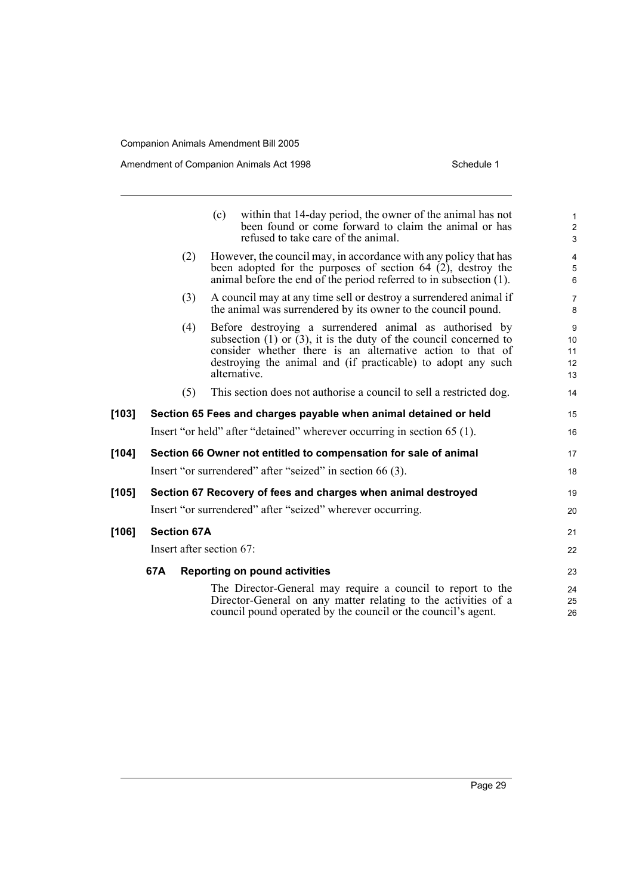|         |                    | (c)                      | within that 14-day period, the owner of the animal has not<br>been found or come forward to claim the animal or has<br>refused to take care of the animal.                                                                                                                      | 1<br>$\overline{c}$<br>3  |
|---------|--------------------|--------------------------|---------------------------------------------------------------------------------------------------------------------------------------------------------------------------------------------------------------------------------------------------------------------------------|---------------------------|
|         | (2)                |                          | However, the council may, in accordance with any policy that has<br>been adopted for the purposes of section $64$ (2), destroy the<br>animal before the end of the period referred to in subsection (1).                                                                        | 4<br>5<br>6               |
|         | (3)                |                          | A council may at any time sell or destroy a surrendered animal if<br>the animal was surrendered by its owner to the council pound.                                                                                                                                              | 7<br>8                    |
|         | (4)                |                          | Before destroying a surrendered animal as authorised by<br>subsection $(1)$ or $(3)$ , it is the duty of the council concerned to<br>consider whether there is an alternative action to that of<br>destroying the animal and (if practicable) to adopt any such<br>alternative. | 9<br>10<br>11<br>12<br>13 |
|         | (5)                |                          | This section does not authorise a council to sell a restricted dog.                                                                                                                                                                                                             | 14                        |
| $[103]$ |                    |                          | Section 65 Fees and charges payable when animal detained or held                                                                                                                                                                                                                | 15                        |
|         |                    |                          | Insert "or held" after "detained" wherever occurring in section 65 (1).                                                                                                                                                                                                         | 16                        |
| [104]   |                    |                          | Section 66 Owner not entitled to compensation for sale of animal                                                                                                                                                                                                                | 17                        |
|         |                    |                          | Insert "or surrendered" after "seized" in section 66 (3).                                                                                                                                                                                                                       | 18                        |
| $[105]$ |                    |                          | Section 67 Recovery of fees and charges when animal destroyed                                                                                                                                                                                                                   | 19                        |
|         |                    |                          | Insert "or surrendered" after "seized" wherever occurring.                                                                                                                                                                                                                      | 20                        |
| [106]   | <b>Section 67A</b> |                          |                                                                                                                                                                                                                                                                                 | 21                        |
|         |                    | Insert after section 67: |                                                                                                                                                                                                                                                                                 | 22                        |
|         | 67A                |                          | <b>Reporting on pound activities</b>                                                                                                                                                                                                                                            | 23                        |
|         |                    |                          | The Director-General may require a council to report to the<br>Director-General on any matter relating to the activities of a<br>council pound operated by the council or the council's agent.                                                                                  | 24<br>25<br>26            |
|         |                    |                          |                                                                                                                                                                                                                                                                                 |                           |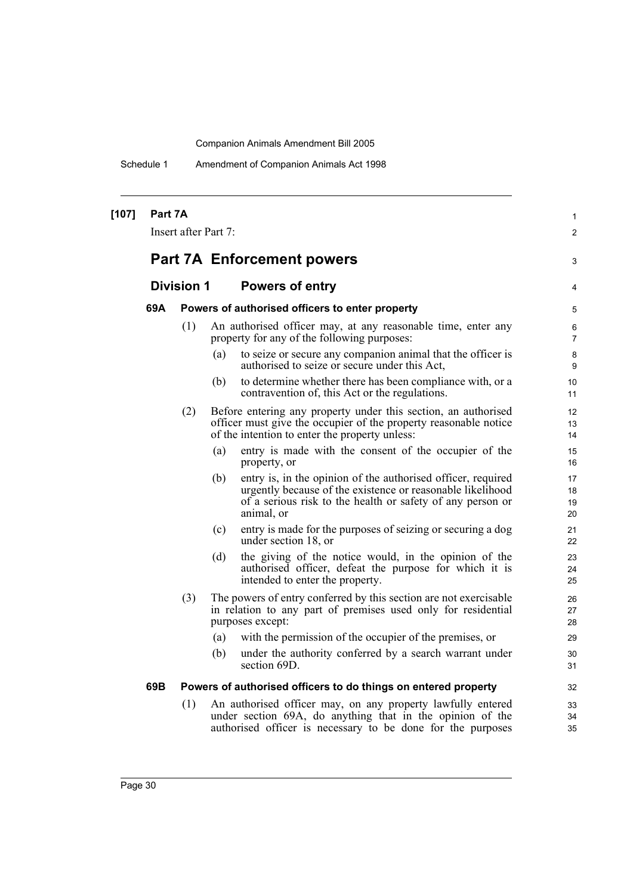| $[107]$ | Part 7A | Insert after Part 7: |     |                                                                                                                                                                                                        | 1<br>$\overline{2}$  |
|---------|---------|----------------------|-----|--------------------------------------------------------------------------------------------------------------------------------------------------------------------------------------------------------|----------------------|
|         |         |                      |     |                                                                                                                                                                                                        |                      |
|         |         |                      |     | <b>Part 7A Enforcement powers</b>                                                                                                                                                                      | 3                    |
|         |         | <b>Division 1</b>    |     | <b>Powers of entry</b>                                                                                                                                                                                 | 4                    |
|         | 69A     |                      |     | Powers of authorised officers to enter property                                                                                                                                                        | 5                    |
|         |         | (1)                  |     | An authorised officer may, at any reasonable time, enter any<br>property for any of the following purposes:                                                                                            | 6<br>$\overline{7}$  |
|         |         |                      | (a) | to seize or secure any companion animal that the officer is<br>authorised to seize or secure under this Act,                                                                                           | 8<br>9               |
|         |         |                      | (b) | to determine whether there has been compliance with, or a<br>contravention of, this Act or the regulations.                                                                                            | 10<br>11             |
|         |         | (2)                  |     | Before entering any property under this section, an authorised<br>officer must give the occupier of the property reasonable notice<br>of the intention to enter the property unless:                   | 12<br>13<br>14       |
|         |         |                      | (a) | entry is made with the consent of the occupier of the<br>property, or                                                                                                                                  | 15<br>16             |
|         |         |                      | (b) | entry is, in the opinion of the authorised officer, required<br>urgently because of the existence or reasonable likelihood<br>of a serious risk to the health or safety of any person or<br>animal, or | 17<br>18<br>19<br>20 |
|         |         |                      | (c) | entry is made for the purposes of seizing or securing a dog<br>under section 18, or                                                                                                                    | 21<br>22             |
|         |         |                      | (d) | the giving of the notice would, in the opinion of the<br>authorised officer, defeat the purpose for which it is<br>intended to enter the property.                                                     | 23<br>24<br>25       |
|         |         | (3)                  |     | The powers of entry conferred by this section are not exercisable<br>in relation to any part of premises used only for residential<br>purposes except:                                                 | 26<br>27<br>28       |
|         |         |                      | (a) | with the permission of the occupier of the premises, or                                                                                                                                                | 29                   |
|         |         |                      | (b) | under the authority conferred by a search warrant under<br>section 69D.                                                                                                                                | 30<br>31             |
|         | 69B     |                      |     | Powers of authorised officers to do things on entered property                                                                                                                                         | 32                   |
|         |         | (1)                  |     | An authorised officer may, on any property lawfully entered<br>under section 69A, do anything that in the opinion of the<br>authorised officer is necessary to be done for the purposes                | 33<br>34<br>35       |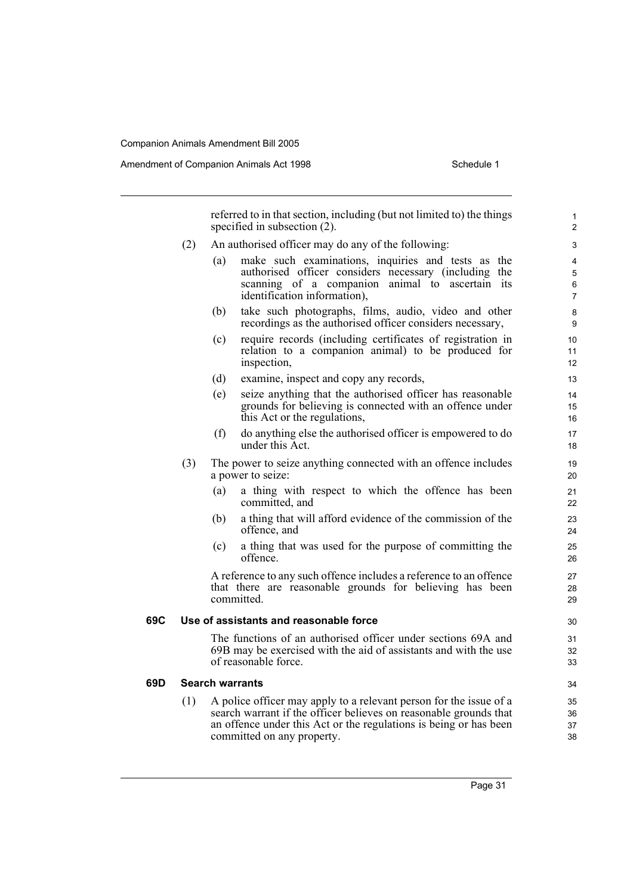|     |     |     | referred to in that section, including (but not limited to) the things<br>specified in subsection (2).                                                                                                                                     | $\mathbf{1}$<br>$\overline{2}$ |
|-----|-----|-----|--------------------------------------------------------------------------------------------------------------------------------------------------------------------------------------------------------------------------------------------|--------------------------------|
|     | (2) |     | An authorised officer may do any of the following:                                                                                                                                                                                         | 3                              |
|     |     | (a) | make such examinations, inquiries and tests as the<br>authorised officer considers necessary (including the<br>scanning of a companion<br>animal to ascertain its<br>identification information),                                          | 4<br>5<br>6<br>$\overline{7}$  |
|     |     | (b) | take such photographs, films, audio, video and other<br>recordings as the authorised officer considers necessary,                                                                                                                          | 8<br>9                         |
|     |     | (c) | require records (including certificates of registration in<br>relation to a companion animal) to be produced for<br>inspection,                                                                                                            | 10<br>11<br>12                 |
|     |     | (d) | examine, inspect and copy any records,                                                                                                                                                                                                     | 13                             |
|     |     | (e) | seize anything that the authorised officer has reasonable<br>grounds for believing is connected with an offence under<br>this Act or the regulations,                                                                                      | 14<br>15<br>16                 |
|     |     | (f) | do anything else the authorised officer is empowered to do<br>under this Act.                                                                                                                                                              | 17<br>18                       |
|     | (3) |     | The power to seize anything connected with an offence includes<br>a power to seize:                                                                                                                                                        | 19<br>20                       |
|     |     | (a) | a thing with respect to which the offence has been<br>committed, and                                                                                                                                                                       | 21<br>22                       |
|     |     | (b) | a thing that will afford evidence of the commission of the<br>offence, and                                                                                                                                                                 | 23<br>24                       |
|     |     | (c) | a thing that was used for the purpose of committing the<br>offence.                                                                                                                                                                        | 25<br>26                       |
|     |     |     | A reference to any such offence includes a reference to an offence<br>that there are reasonable grounds for believing has been<br>committed.                                                                                               | 27<br>28<br>29                 |
| 69C |     |     | Use of assistants and reasonable force                                                                                                                                                                                                     | 30                             |
|     |     |     | The functions of an authorised officer under sections 69A and<br>69B may be exercised with the aid of assistants and with the use<br>of reasonable force.                                                                                  | 31<br>32<br>33                 |
| 69D |     |     | <b>Search warrants</b>                                                                                                                                                                                                                     | 34                             |
|     | (1) |     | A police officer may apply to a relevant person for the issue of a<br>search warrant if the officer believes on reasonable grounds that<br>an offence under this Act or the regulations is being or has been<br>committed on any property. | 35<br>36<br>37<br>38           |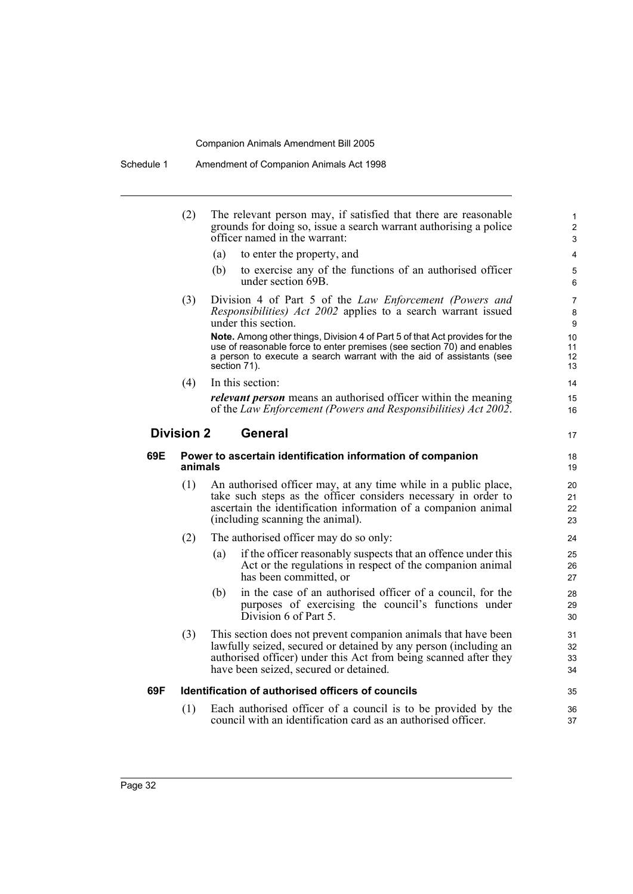|     | (2)               | The relevant person may, if satisfied that there are reasonable<br>grounds for doing so, issue a search warrant authorising a police<br>officer named in the warrant:                                                                            | $\mathbf{1}$<br>$\overline{2}$<br>3 |
|-----|-------------------|--------------------------------------------------------------------------------------------------------------------------------------------------------------------------------------------------------------------------------------------------|-------------------------------------|
|     |                   | (a)<br>to enter the property, and                                                                                                                                                                                                                | 4                                   |
|     |                   | to exercise any of the functions of an authorised officer<br>(b)<br>under section $69B$ .                                                                                                                                                        | 5<br>6                              |
|     | (3)               | Division 4 of Part 5 of the Law Enforcement (Powers and<br>Responsibilities) Act 2002 applies to a search warrant issued<br>under this section.                                                                                                  | $\overline{7}$<br>8<br>9            |
|     |                   | Note. Among other things, Division 4 of Part 5 of that Act provides for the<br>use of reasonable force to enter premises (see section 70) and enables<br>a person to execute a search warrant with the aid of assistants (see<br>section 71).    | 10<br>11<br>$12 \overline{ }$<br>13 |
|     | (4)               | In this section:                                                                                                                                                                                                                                 | 14                                  |
|     |                   | <i>relevant person</i> means an authorised officer within the meaning<br>of the Law Enforcement (Powers and Responsibilities) Act 2002.                                                                                                          | 15<br>16                            |
|     | <b>Division 2</b> | General                                                                                                                                                                                                                                          | 17                                  |
| 69E | animals           | Power to ascertain identification information of companion                                                                                                                                                                                       | 18<br>19                            |
|     | (1)               | An authorised officer may, at any time while in a public place,<br>take such steps as the officer considers necessary in order to<br>ascertain the identification information of a companion animal<br>(including scanning the animal).          | 20<br>21<br>22<br>23                |
|     | (2)               | The authorised officer may do so only:                                                                                                                                                                                                           | 24                                  |
|     |                   | if the officer reasonably suspects that an offence under this<br>(a)<br>Act or the regulations in respect of the companion animal<br>has been committed, or                                                                                      | 25<br>26<br>27                      |
|     |                   | in the case of an authorised officer of a council, for the<br>(b)<br>purposes of exercising the council's functions under<br>Division 6 of Part 5                                                                                                | 28<br>29<br>30                      |
|     | (3)               | This section does not prevent companion animals that have been<br>lawfully seized, secured or detained by any person (including an<br>authorised officer) under this Act from being scanned after they<br>have been seized, secured or detained. | 31<br>32<br>33<br>34                |
| 69F |                   | Identification of authorised officers of councils                                                                                                                                                                                                | 35                                  |
|     | (1)               | Each authorised officer of a council is to be provided by the<br>council with an identification card as an authorised officer.                                                                                                                   | 36<br>37                            |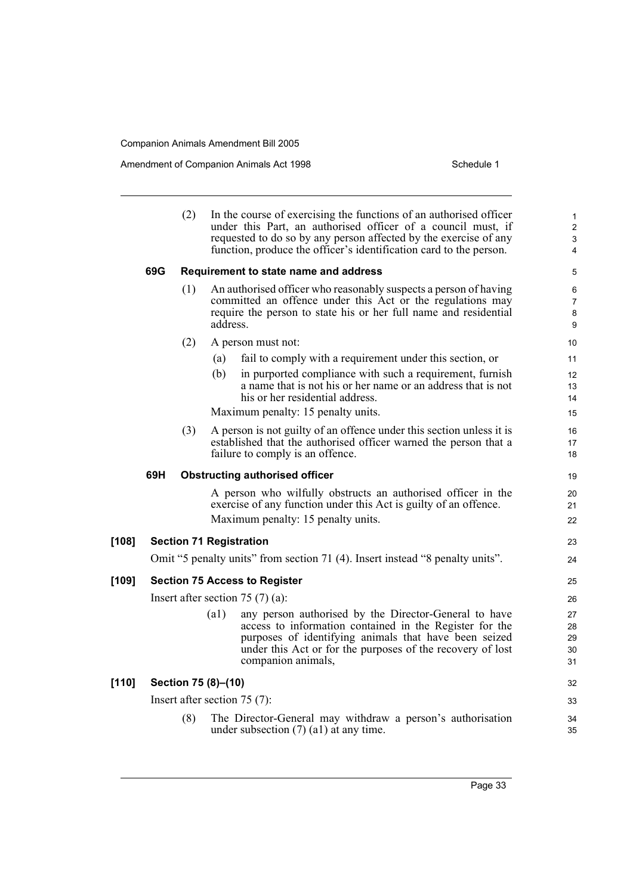|         |     | (2) | In the course of exercising the functions of an authorised officer<br>under this Part, an authorised officer of a council must, if<br>requested to do so by any person affected by the exercise of any<br>function, produce the officer's identification card to the person. | $\mathbf{1}$<br>2<br>3<br>$\overline{4}$ |
|---------|-----|-----|------------------------------------------------------------------------------------------------------------------------------------------------------------------------------------------------------------------------------------------------------------------------------|------------------------------------------|
|         | 69G |     | Requirement to state name and address                                                                                                                                                                                                                                        | 5                                        |
|         |     | (1) | An authorised officer who reasonably suspects a person of having<br>committed an offence under this Act or the regulations may<br>require the person to state his or her full name and residential<br>address.                                                               | 6<br>$\overline{7}$<br>8<br>9            |
|         |     | (2) | A person must not:                                                                                                                                                                                                                                                           | 10                                       |
|         |     |     | fail to comply with a requirement under this section, or<br>(a)                                                                                                                                                                                                              | 11                                       |
|         |     |     | in purported compliance with such a requirement, furnish<br>(b)<br>a name that is not his or her name or an address that is not<br>his or her residential address.                                                                                                           | 12<br>13<br>14                           |
|         |     |     | Maximum penalty: 15 penalty units.                                                                                                                                                                                                                                           | 15                                       |
|         |     | (3) | A person is not guilty of an offence under this section unless it is<br>established that the authorised officer warned the person that a<br>failure to comply is an offence.                                                                                                 | 16<br>17<br>18                           |
|         | 69H |     | <b>Obstructing authorised officer</b>                                                                                                                                                                                                                                        | 19                                       |
|         |     |     | A person who wilfully obstructs an authorised officer in the<br>exercise of any function under this Act is guilty of an offence.                                                                                                                                             | 20<br>21                                 |
|         |     |     | Maximum penalty: 15 penalty units.                                                                                                                                                                                                                                           | 22                                       |
| [108]   |     |     | <b>Section 71 Registration</b>                                                                                                                                                                                                                                               | 23                                       |
|         |     |     | Omit "5 penalty units" from section 71 (4). Insert instead "8 penalty units".                                                                                                                                                                                                | 24                                       |
| [109]   |     |     | <b>Section 75 Access to Register</b>                                                                                                                                                                                                                                         | 25                                       |
|         |     |     | Insert after section $75(7)(a)$ :                                                                                                                                                                                                                                            | 26                                       |
|         |     |     | (a1)<br>any person authorised by the Director-General to have<br>access to information contained in the Register for the<br>purposes of identifying animals that have been seized<br>under this Act or for the purposes of the recovery of lost<br>companion animals,        | 27<br>28<br>29<br>30<br>31               |
| $[110]$ |     |     | Section 75 (8)-(10)                                                                                                                                                                                                                                                          | 32                                       |
|         |     |     | Insert after section $75(7)$ :                                                                                                                                                                                                                                               | 33                                       |
|         |     | (8) | The Director-General may withdraw a person's authorisation<br>under subsection $(7)$ (a1) at any time.                                                                                                                                                                       | 34<br>35                                 |
|         |     |     |                                                                                                                                                                                                                                                                              |                                          |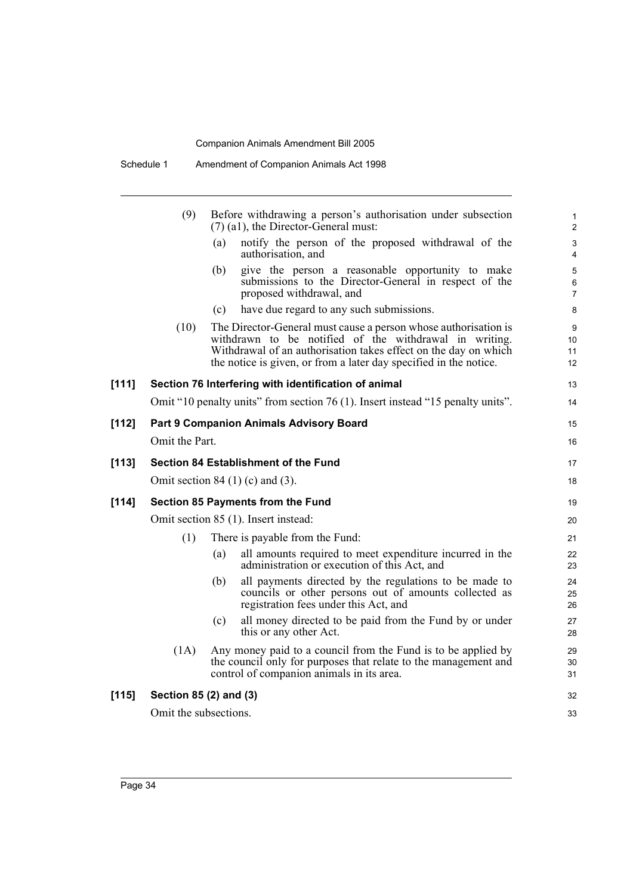|       | (9)                    | Before withdrawing a person's authorisation under subsection<br>$(7)$ (a1), the Director-General must:                                                                                                                                                            | 1<br>$\overline{2}$              |
|-------|------------------------|-------------------------------------------------------------------------------------------------------------------------------------------------------------------------------------------------------------------------------------------------------------------|----------------------------------|
|       |                        | (a)<br>notify the person of the proposed withdrawal of the<br>authorisation, and                                                                                                                                                                                  | 3<br>4                           |
|       |                        | give the person a reasonable opportunity to make<br>(b)<br>submissions to the Director-General in respect of the<br>proposed withdrawal, and                                                                                                                      | 5<br>6<br>$\overline{7}$         |
|       |                        | (c)<br>have due regard to any such submissions.                                                                                                                                                                                                                   | 8                                |
|       | (10)                   | The Director-General must cause a person whose authorisation is<br>withdrawn to be notified of the withdrawal in writing.<br>Withdrawal of an authorisation takes effect on the day on which<br>the notice is given, or from a later day specified in the notice. | 9<br>10 <sup>1</sup><br>11<br>12 |
| [111] |                        | Section 76 Interfering with identification of animal                                                                                                                                                                                                              | 13                               |
|       |                        | Omit "10 penalty units" from section 76 (1). Insert instead "15 penalty units".                                                                                                                                                                                   | 14                               |
| [112] |                        | <b>Part 9 Companion Animals Advisory Board</b>                                                                                                                                                                                                                    | 15                               |
|       | Omit the Part.         |                                                                                                                                                                                                                                                                   | 16                               |
| [113] |                        | Section 84 Establishment of the Fund                                                                                                                                                                                                                              | 17                               |
|       |                        | Omit section 84 $(1)$ (c) and $(3)$ .                                                                                                                                                                                                                             | 18                               |
| [114] |                        | Section 85 Payments from the Fund                                                                                                                                                                                                                                 | 19                               |
|       |                        | Omit section 85 (1). Insert instead:                                                                                                                                                                                                                              | 20                               |
|       | (1)                    | There is payable from the Fund:                                                                                                                                                                                                                                   | 21                               |
|       |                        | all amounts required to meet expenditure incurred in the<br>(a)<br>administration or execution of this Act, and                                                                                                                                                   | 22<br>23                         |
|       |                        | all payments directed by the regulations to be made to<br>(b)<br>councils or other persons out of amounts collected as<br>registration fees under this Act, and                                                                                                   | 24<br>25<br>26                   |
|       |                        | all money directed to be paid from the Fund by or under<br>(c)<br>this or any other Act.                                                                                                                                                                          | 27<br>28                         |
|       | (1A)                   | Any money paid to a council from the Fund is to be applied by<br>the council only for purposes that relate to the management and<br>control of companion animals in its area.                                                                                     | 29<br>30<br>31                   |
| [115] | Section 85 (2) and (3) |                                                                                                                                                                                                                                                                   | 32                               |
|       | Omit the subsections.  |                                                                                                                                                                                                                                                                   | 33                               |
|       |                        |                                                                                                                                                                                                                                                                   |                                  |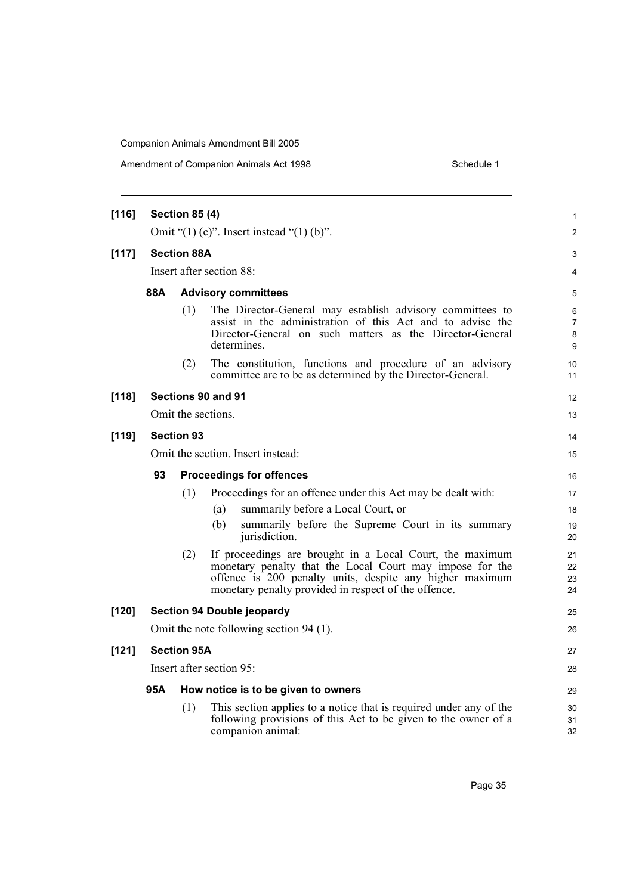| [116]   |     | <b>Section 85 (4)</b> |                                                                                                                                                                                                                                          | 1                             |
|---------|-----|-----------------------|------------------------------------------------------------------------------------------------------------------------------------------------------------------------------------------------------------------------------------------|-------------------------------|
|         |     |                       | Omit " $(1)$ (c)". Insert instead " $(1)$ (b)".                                                                                                                                                                                          | $\overline{2}$                |
| [117]   |     | <b>Section 88A</b>    |                                                                                                                                                                                                                                          | 3                             |
|         |     |                       | Insert after section 88:                                                                                                                                                                                                                 | 4                             |
|         | 88A |                       | <b>Advisory committees</b>                                                                                                                                                                                                               | 5                             |
|         |     | (1)                   | The Director-General may establish advisory committees to<br>assist in the administration of this Act and to advise the<br>Director-General on such matters as the Director-General<br>determines.                                       | 6<br>$\overline{7}$<br>8<br>9 |
|         |     | (2)                   | The constitution, functions and procedure of an advisory<br>committee are to be as determined by the Director-General.                                                                                                                   | 10<br>11                      |
| [118]   |     |                       | Sections 90 and 91                                                                                                                                                                                                                       | 12                            |
|         |     |                       | Omit the sections.                                                                                                                                                                                                                       | 13                            |
| [119]   |     | <b>Section 93</b>     |                                                                                                                                                                                                                                          | 14                            |
|         |     |                       | Omit the section. Insert instead:                                                                                                                                                                                                        | 15                            |
|         | 93  |                       | <b>Proceedings for offences</b>                                                                                                                                                                                                          | 16                            |
|         |     | (1)                   | Proceedings for an offence under this Act may be dealt with:                                                                                                                                                                             | 17                            |
|         |     |                       | summarily before a Local Court, or<br>(a)                                                                                                                                                                                                | 18                            |
|         |     |                       | (b)<br>summarily before the Supreme Court in its summary<br>jurisdiction.                                                                                                                                                                | 19<br>20                      |
|         |     | (2)                   | If proceedings are brought in a Local Court, the maximum<br>monetary penalty that the Local Court may impose for the<br>offence is 200 penalty units, despite any higher maximum<br>monetary penalty provided in respect of the offence. | 21<br>22<br>23<br>24          |
| $[120]$ |     |                       | <b>Section 94 Double jeopardy</b>                                                                                                                                                                                                        | 25                            |
|         |     |                       | Omit the note following section 94 (1).                                                                                                                                                                                                  | 26                            |
| [121]   |     | <b>Section 95A</b>    |                                                                                                                                                                                                                                          | 27                            |
|         |     |                       | Insert after section 95:                                                                                                                                                                                                                 | 28                            |
|         | 95A |                       | How notice is to be given to owners                                                                                                                                                                                                      | 29                            |
|         |     | (1)                   | This section applies to a notice that is required under any of the<br>following provisions of this Act to be given to the owner of a<br>companion animal:                                                                                | 30<br>31<br>32                |